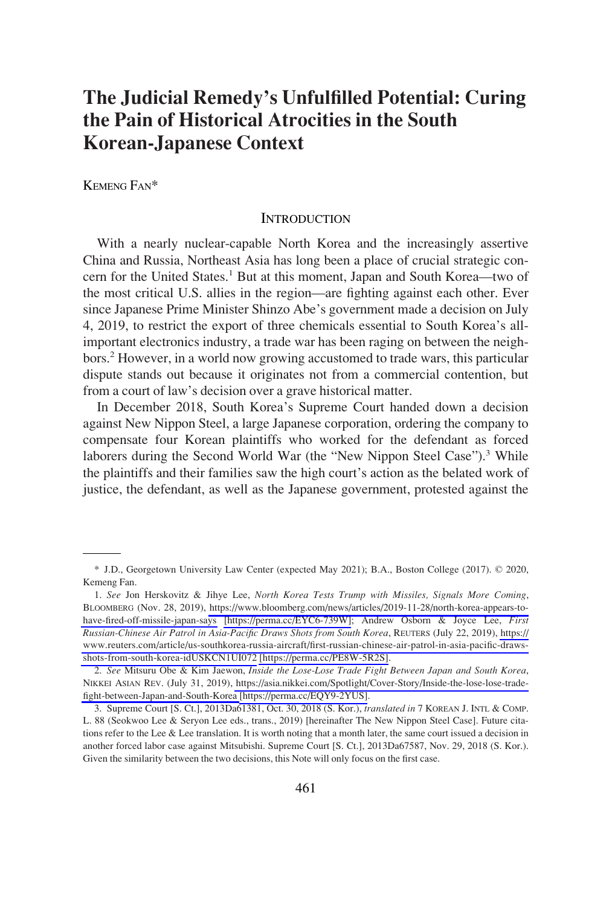# **The Judicial Remedy's Unfulfilled Potential: Curing the Pain of Historical Atrocities in the South Korean-Japanese Context**

KEMENG FAN\*

# **INTRODUCTION**

With a nearly nuclear-capable North Korea and the increasingly assertive China and Russia, Northeast Asia has long been a place of crucial strategic concern for the United States.<sup>1</sup> But at this moment, Japan and South Korea—two of the most critical U.S. allies in the region—are fighting against each other. Ever since Japanese Prime Minister Shinzo Abe's government made a decision on July 4, 2019, to restrict the export of three chemicals essential to South Korea's allimportant electronics industry, a trade war has been raging on between the neighbors.2 However, in a world now growing accustomed to trade wars, this particular dispute stands out because it originates not from a commercial contention, but from a court of law's decision over a grave historical matter.

In December 2018, South Korea's Supreme Court handed down a decision against New Nippon Steel, a large Japanese corporation, ordering the company to compensate four Korean plaintiffs who worked for the defendant as forced laborers during the Second World War (the "New Nippon Steel Case").<sup>3</sup> While the plaintiffs and their families saw the high court's action as the belated work of justice, the defendant, as well as the Japanese government, protested against the

<sup>\*</sup> J.D., Georgetown University Law Center (expected May 2021); B.A., Boston College (2017). © 2020, Kemeng Fan.

*See* Jon Herskovitz & Jihye Lee, *North Korea Tests Trump with Missiles, Signals More Coming*, 1. BLOOMBERG (Nov. 28, 2019), [https://www.bloomberg.com/news/articles/2019-11-28/north-korea-appears-to](https://www.bloomberg.com/news/articles/2019-11-28/north-korea-appears-to-have-fired-off-missile-japan-says)[have-fired-off-missile-japan-says](https://www.bloomberg.com/news/articles/2019-11-28/north-korea-appears-to- have-fired-off-missile-japan-says) [\[https://perma.cc/EYC6-739W\]](https://perma.cc/EYC6-739W); Andrew Osborn & Joyce Lee, *First Russian-Chinese Air Patrol in Asia-Pacific Draws Shots from South Korea*, REUTERS (July 22, 2019), [https://](https://www.reuters.com/article/us-southkorea-russia-aircraft/first-russian-chinese-air-patrol-in-asia-pacific-draws-shots-from-south-korea-idUSKCN1UI072) [www.reuters.com/article/us-southkorea-russia-aircraft/first-russian-chinese-air-patrol-in-asia-pacific-draws](https://www.reuters.com/article/us-southkorea-russia-aircraft/first-russian-chinese-air-patrol-in-asia-pacific-draws-shots-from-south-korea-idUSKCN1UI072)[shots-from-south-korea-idUSKCN1UI072](https://www.reuters.com/article/us-southkorea-russia-aircraft/first-russian-chinese-air-patrol-in-asia-pacific-draws-shots-from-south-korea-idUSKCN1UI072) [\[https://perma.cc/PE8W-5R2S\].](https://perma.cc/PE8W-5R2S)

*See* Mitsuru Obe & Kim Jaewon, *Inside the Lose-Lose Trade Fight Between Japan and South Korea*, 2. NIKKEI ASIAN REV. (July 31, 2019), [https://asia.nikkei.com/Spotlight/Cover-Story/Inside-the-lose-lose-trade](https://asia.nikkei.com/Spotlight/Cover-Story/Inside-the-lose-lose-trade-fight-between-Japan-and-South-Korea)[fight-between-Japan-and-South-Korea](https://asia.nikkei.com/Spotlight/Cover-Story/Inside-the-lose-lose-trade-fight-between-Japan-and-South-Korea) [\[https://perma.cc/EQY9-2YUS\]](https://perma.cc/EQY9-2YUS).

<sup>3.</sup> Supreme Court [S. Ct.], 2013Da61381, Oct. 30, 2018 (S. Kor.), *translated in* 7 KOREAN J. INTL & COMP. L. 88 (Seokwoo Lee & Seryon Lee eds., trans., 2019) [hereinafter The New Nippon Steel Case]. Future citations refer to the Lee & Lee translation. It is worth noting that a month later, the same court issued a decision in another forced labor case against Mitsubishi. Supreme Court [S. Ct.], 2013Da67587, Nov. 29, 2018 (S. Kor.). Given the similarity between the two decisions, this Note will only focus on the first case.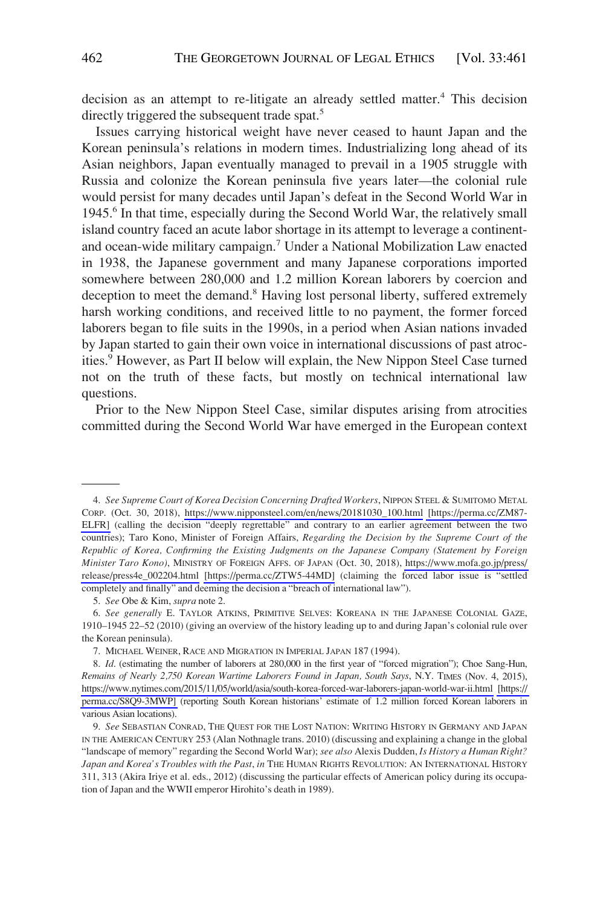decision as an attempt to re-litigate an already settled matter.<sup>4</sup> This decision directly triggered the subsequent trade spat.<sup>5</sup>

Issues carrying historical weight have never ceased to haunt Japan and the Korean peninsula's relations in modern times. Industrializing long ahead of its Asian neighbors, Japan eventually managed to prevail in a 1905 struggle with Russia and colonize the Korean peninsula five years later—the colonial rule would persist for many decades until Japan's defeat in the Second World War in 1945.6 In that time, especially during the Second World War, the relatively small island country faced an acute labor shortage in its attempt to leverage a continentand ocean-wide military campaign.7 Under a National Mobilization Law enacted in 1938, the Japanese government and many Japanese corporations imported somewhere between 280,000 and 1.2 million Korean laborers by coercion and deception to meet the demand.<sup>8</sup> Having lost personal liberty, suffered extremely harsh working conditions, and received little to no payment, the former forced laborers began to file suits in the 1990s, in a period when Asian nations invaded by Japan started to gain their own voice in international discussions of past atrocities.<sup>9</sup> However, as Part II below will explain, the New Nippon Steel Case turned not on the truth of these facts, but mostly on technical international law questions.

Prior to the New Nippon Steel Case, similar disputes arising from atrocities committed during the Second World War have emerged in the European context

*See Supreme Court of Korea Decision Concerning Drafted Workers*, NIPPON STEEL & SUMITOMO METAL 4. CORP. (Oct. 30, 2018), [https://www.nipponsteel.com/en/news/20181030\\_100.html](https://www.nipponsteel.com/en/news/20181030_100.html) [\[https://perma.cc/ZM87-]([https://perma.cc/ZM87-ELFR)  [ELFR\]]([https://perma.cc/ZM87-ELFR) (calling the decision "deeply regrettable" and contrary to an earlier agreement between the two countries); Taro Kono, Minister of Foreign Affairs, *Regarding the Decision by the Supreme Court of the Republic of Korea, Confirming the Existing Judgments on the Japanese Company (Statement by Foreign Minister Taro Kono)*, MINISTRY OF FOREIGN AFFS. OF JAPAN (Oct. 30, 2018), [https://www.mofa.go.jp/press/](https://www.mofa.go.jp/press/release/press4e_002204.html)  [release/press4e\\_002204.html](https://www.mofa.go.jp/press/release/press4e_002204.html) [\[https://perma.cc/ZTW5-44MD\]](https://perma.cc/ZTW5-44MD) (claiming the forced labor issue is "settled completely and finally" and deeming the decision a "breach of international law").

<sup>5.</sup> *See* Obe & Kim, *supra* note 2.

<sup>6.</sup> *See generally* E. TAYLOR ATKINS, PRIMITIVE SELVES: KOREANA IN THE JAPANESE COLONIAL GAZE, 1910–1945 22–52 (2010) (giving an overview of the history leading up to and during Japan's colonial rule over the Korean peninsula).

<sup>7.</sup> MICHAEL WEINER, RACE AND MIGRATION IN IMPERIAL JAPAN 187 (1994).

<sup>8.</sup> *Id.* (estimating the number of laborers at 280,000 in the first year of "forced migration"); Choe Sang-Hun, *Remains of Nearly 2,750 Korean Wartime Laborers Found in Japan, South Says*, N.Y. TIMES (Nov. 4, 2015), <https://www.nytimes.com/2015/11/05/world/asia/south-korea-forced-war-laborers-japan-world-war-ii.html>[\[https://](https://perma.cc/S8Q9-3MWP)  [perma.cc/S8Q9-3MWP\]](https://perma.cc/S8Q9-3MWP) (reporting South Korean historians' estimate of 1.2 million forced Korean laborers in various Asian locations).

<sup>9.</sup> *See* SEBASTIAN CONRAD, THE QUEST FOR THE LOST NATION: WRITING HISTORY IN GERMANY AND JAPAN IN THE AMERICAN CENTURY 253 (Alan Nothnagle trans. 2010) (discussing and explaining a change in the global "landscape of memory" regarding the Second World War); *see also* Alexis Dudden, *Is History a Human Right? Japan and Korea's Troubles with the Past*, *in* THE HUMAN RIGHTS REVOLUTION: AN INTERNATIONAL HISTORY 311, 313 (Akira Iriye et al. eds., 2012) (discussing the particular effects of American policy during its occupation of Japan and the WWII emperor Hirohito's death in 1989).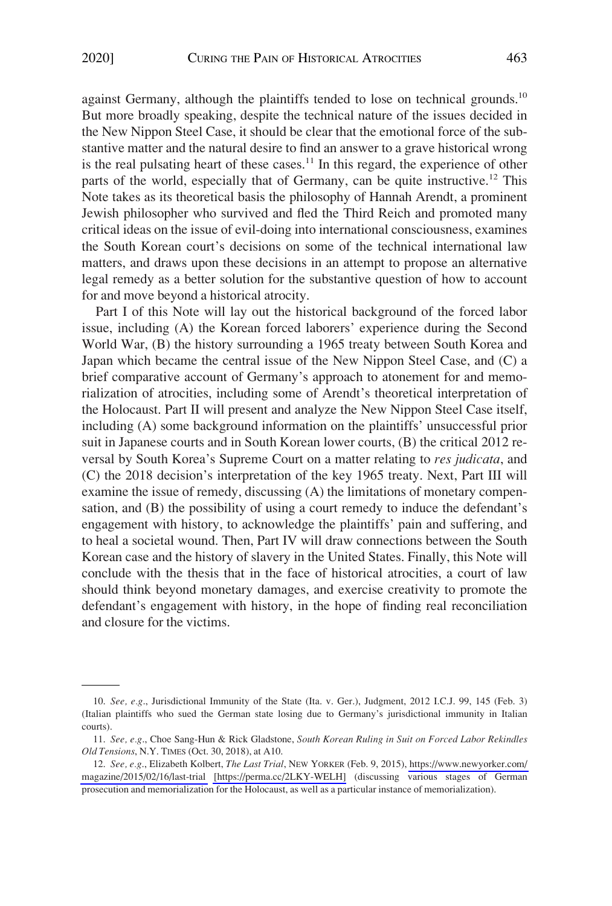against Germany, although the plaintiffs tended to lose on technical grounds.<sup>10</sup> But more broadly speaking, despite the technical nature of the issues decided in the New Nippon Steel Case, it should be clear that the emotional force of the substantive matter and the natural desire to find an answer to a grave historical wrong is the real pulsating heart of these cases.<sup>11</sup> In this regard, the experience of other parts of the world, especially that of Germany, can be quite instructive.<sup>12</sup> This Note takes as its theoretical basis the philosophy of Hannah Arendt, a prominent Jewish philosopher who survived and fled the Third Reich and promoted many critical ideas on the issue of evil-doing into international consciousness, examines the South Korean court's decisions on some of the technical international law matters, and draws upon these decisions in an attempt to propose an alternative legal remedy as a better solution for the substantive question of how to account for and move beyond a historical atrocity.

Part I of this Note will lay out the historical background of the forced labor issue, including (A) the Korean forced laborers' experience during the Second World War, (B) the history surrounding a 1965 treaty between South Korea and Japan which became the central issue of the New Nippon Steel Case, and (C) a brief comparative account of Germany's approach to atonement for and memorialization of atrocities, including some of Arendt's theoretical interpretation of the Holocaust. Part II will present and analyze the New Nippon Steel Case itself, including (A) some background information on the plaintiffs' unsuccessful prior suit in Japanese courts and in South Korean lower courts, (B) the critical 2012 reversal by South Korea's Supreme Court on a matter relating to *res judicata*, and (C) the 2018 decision's interpretation of the key 1965 treaty. Next, Part III will examine the issue of remedy, discussing (A) the limitations of monetary compensation, and (B) the possibility of using a court remedy to induce the defendant's engagement with history, to acknowledge the plaintiffs' pain and suffering, and to heal a societal wound. Then, Part IV will draw connections between the South Korean case and the history of slavery in the United States. Finally, this Note will conclude with the thesis that in the face of historical atrocities, a court of law should think beyond monetary damages, and exercise creativity to promote the defendant's engagement with history, in the hope of finding real reconciliation and closure for the victims.

<sup>10.</sup> *See, e.g*., Jurisdictional Immunity of the State (Ita. v. Ger.), Judgment, 2012 I.C.J. 99, 145 (Feb. 3) (Italian plaintiffs who sued the German state losing due to Germany's jurisdictional immunity in Italian courts).

<sup>11.</sup> *See, e.g*., Choe Sang-Hun & Rick Gladstone, *South Korean Ruling in Suit on Forced Labor Rekindles Old Tensions*, N.Y. TIMES (Oct. 30, 2018), at A10.

*See, e.g*., Elizabeth Kolbert, *The Last Trial*, NEW YORKER (Feb. 9, 2015), [https://www.newyorker.com/](https://www.newyorker.com/magazine/2015/02/16/last-trial)  12. [magazine/2015/02/16/last-trial](https://www.newyorker.com/magazine/2015/02/16/last-trial) [\[https://perma.cc/2LKY-WELH\]](https://perma.cc/2LKY-WELH) (discussing various stages of German prosecution and memorialization for the Holocaust, as well as a particular instance of memorialization).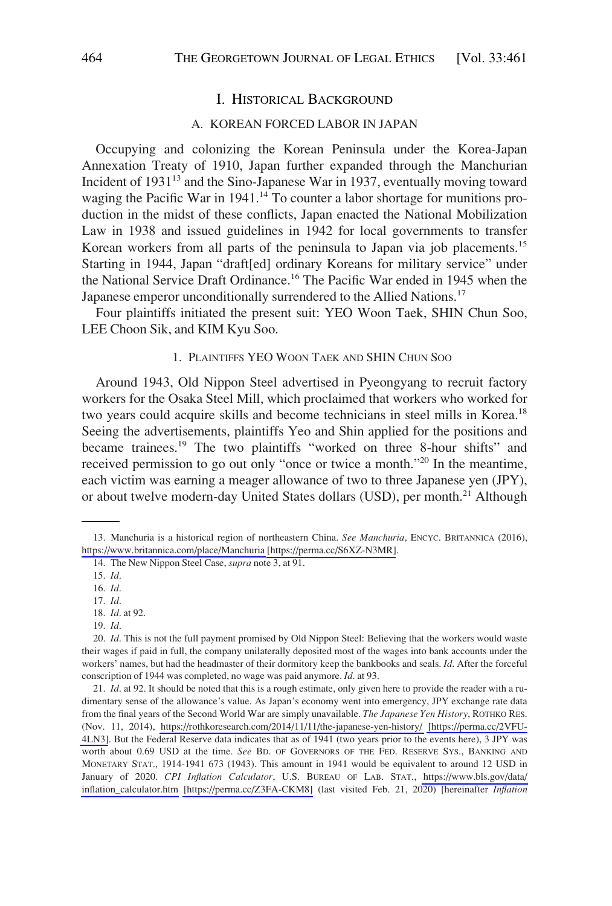### I. HISTORICAL BACKGROUND

#### A. KOREAN FORCED LABOR IN JAPAN

Occupying and colonizing the Korean Peninsula under the Korea-Japan Annexation Treaty of 1910, Japan further expanded through the Manchurian Incident of 1931<sup>13</sup> and the Sino-Japanese War in 1937, eventually moving toward waging the Pacific War in 1941.<sup>14</sup> To counter a labor shortage for munitions production in the midst of these conflicts, Japan enacted the National Mobilization Law in 1938 and issued guidelines in 1942 for local governments to transfer Korean workers from all parts of the peninsula to Japan via job placements.<sup>15</sup> Starting in 1944, Japan "draft[ed] ordinary Koreans for military service" under the National Service Draft Ordinance.16 The Pacific War ended in 1945 when the Japanese emperor unconditionally surrendered to the Allied Nations.<sup>17</sup>

Four plaintiffs initiated the present suit: YEO Woon Taek, SHIN Chun Soo, LEE Choon Sik, and KIM Kyu Soo.

## 1. PLAINTIFFS YEO WOON TAEK AND SHIN CHUN SOO

Around 1943, Old Nippon Steel advertised in Pyeongyang to recruit factory workers for the Osaka Steel Mill, which proclaimed that workers who worked for two years could acquire skills and become technicians in steel mills in Korea.<sup>18</sup> Seeing the advertisements, plaintiffs Yeo and Shin applied for the positions and became trainees.19 The two plaintiffs "worked on three 8-hour shifts" and received permission to go out only "once or twice a month."20 In the meantime, each victim was earning a meager allowance of two to three Japanese yen (JPY), or about twelve modern-day United States dollars (USD), per month.<sup>21</sup> Although

21. *Id.* at 92. It should be noted that this is a rough estimate, only given here to provide the reader with a rudimentary sense of the allowance's value. As Japan's economy went into emergency, JPY exchange rate data from the final years of the Second World War are simply unavailable. *The Japanese Yen History*, ROTHKO RES. (Nov. 11, 2014), <https://rothkoresearch.com/2014/11/11/the-japanese-yen-history/>[\[https://perma.cc/2VFU-](https://perma.cc/2VFU-4LN3)[4LN3\]](https://perma.cc/2VFU-4LN3). But the Federal Reserve data indicates that as of 1941 (two years prior to the events here), 3 JPY was worth about 0.69 USD at the time. *See* BD. OF GOVERNORS OF THE FED. RESERVE SYS., BANKING AND MONETARY STAT., 1914-1941 673 (1943). This amount in 1941 would be equivalent to around 12 USD in January of 2020. *CPI Inflation Calculator*, U.S. BUREAU OF LAB. STAT., [https://www.bls.gov/data/](https://www.bls.gov/data/inflation_calculator.htm)  [inflation\\_calculator.htm](https://www.bls.gov/data/inflation_calculator.htm) [\[https://perma.cc/Z3FA-CKM8\]](https://perma.cc/Z3FA-CKM8) (last visited Feb. 21, 2020) [hereinafter *Inflation* 

<sup>13.</sup> Manchuria is a historical region of northeastern China. *See Manchuria*, ENCYC. BRITANNICA (2016), <https://www.britannica.com/place/Manchuria>[\[https://perma.cc/S6XZ-N3MR\].](https://perma.cc/S6XZ-N3MR)

<sup>14.</sup> The New Nippon Steel Case, *supra* note 3, at 91.

<sup>15.</sup> *Id*.

<sup>16.</sup> *Id*.

<sup>17.</sup> *Id*. 18. *Id*. at 92.

<sup>19.</sup> *Id*.

<sup>20.</sup> *Id*. This is not the full payment promised by Old Nippon Steel: Believing that the workers would waste their wages if paid in full, the company unilaterally deposited most of the wages into bank accounts under the workers' names, but had the headmaster of their dormitory keep the bankbooks and seals. *Id*. After the forceful conscription of 1944 was completed, no wage was paid anymore. *Id*. at 93.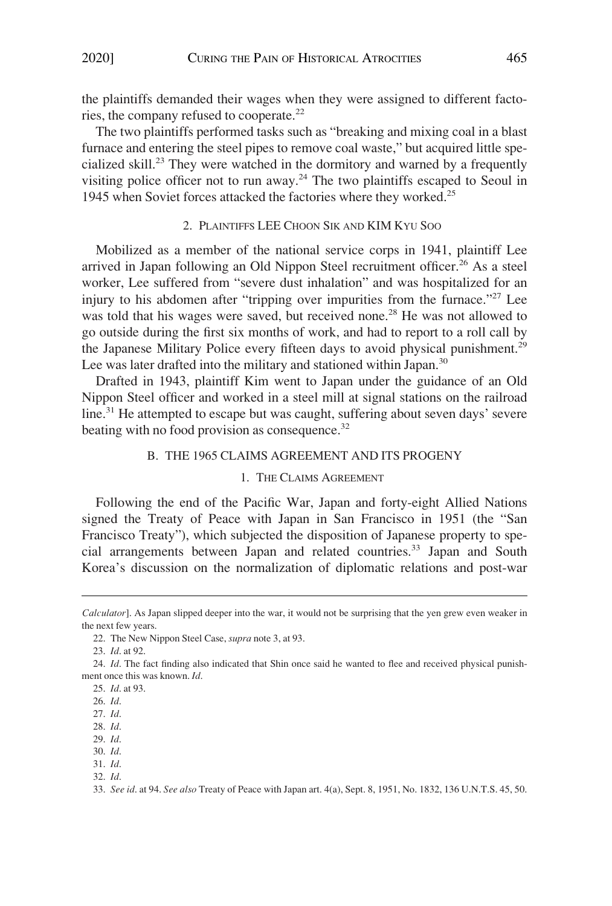the plaintiffs demanded their wages when they were assigned to different factories, the company refused to cooperate.<sup>22</sup>

The two plaintiffs performed tasks such as "breaking and mixing coal in a blast furnace and entering the steel pipes to remove coal waste," but acquired little specialized skill.23 They were watched in the dormitory and warned by a frequently visiting police officer not to run away.<sup>24</sup> The two plaintiffs escaped to Seoul in 1945 when Soviet forces attacked the factories where they worked.<sup>25</sup>

# 2. PLAINTIFFS LEE CHOON SIK AND KIM KYU SOO

Mobilized as a member of the national service corps in 1941, plaintiff Lee arrived in Japan following an Old Nippon Steel recruitment officer.<sup>26</sup> As a steel worker, Lee suffered from "severe dust inhalation" and was hospitalized for an injury to his abdomen after "tripping over impurities from the furnace."<sup>27</sup> Lee was told that his wages were saved, but received none.<sup>28</sup> He was not allowed to go outside during the first six months of work, and had to report to a roll call by the Japanese Military Police every fifteen days to avoid physical punishment.<sup>29</sup> Lee was later drafted into the military and stationed within Japan.<sup>30</sup>

Drafted in 1943, plaintiff Kim went to Japan under the guidance of an Old Nippon Steel officer and worked in a steel mill at signal stations on the railroad line.<sup>31</sup> He attempted to escape but was caught, suffering about seven days' severe beating with no food provision as consequence.<sup>32</sup>

# B. THE 1965 CLAIMS AGREEMENT AND ITS PROGENY

## 1. THE CLAIMS AGREEMENT

Following the end of the Pacific War, Japan and forty-eight Allied Nations signed the Treaty of Peace with Japan in San Francisco in 1951 (the "San Francisco Treaty"), which subjected the disposition of Japanese property to special arrangements between Japan and related countries.33 Japan and South Korea's discussion on the normalization of diplomatic relations and post-war

*Calculator*]. As Japan slipped deeper into the war, it would not be surprising that the yen grew even weaker in the next few years.

<sup>22.</sup> The New Nippon Steel Case, *supra* note 3, at 93.

<sup>23.</sup> *Id*. at 92.

<sup>24.</sup> *Id*. The fact finding also indicated that Shin once said he wanted to flee and received physical punishment once this was known. *Id*.

<sup>25.</sup> *Id*. at 93.

<sup>26.</sup> *Id*.

<sup>27.</sup> *Id*.

<sup>28.</sup> *Id*.

<sup>29.</sup> *Id*.

<sup>30.</sup> *Id*.

<sup>31.</sup> *Id*.

<sup>32.</sup> *Id*.

<sup>33.</sup> *See id*. at 94. *See also* Treaty of Peace with Japan art. 4(a), Sept. 8, 1951, No. 1832, 136 U.N.T.S. 45, 50.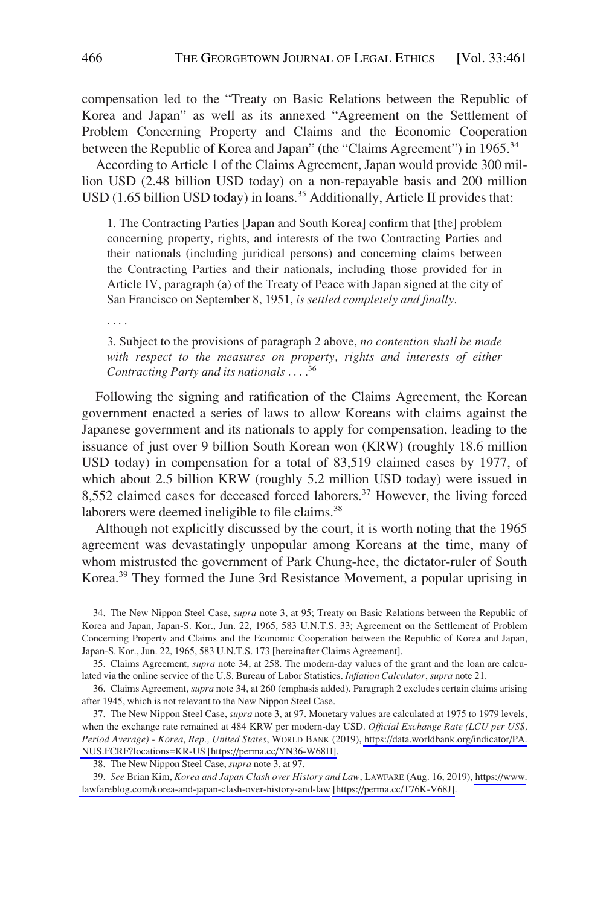compensation led to the "Treaty on Basic Relations between the Republic of Korea and Japan" as well as its annexed "Agreement on the Settlement of Problem Concerning Property and Claims and the Economic Cooperation between the Republic of Korea and Japan" (the "Claims Agreement") in 1965.<sup>34</sup>

According to Article 1 of the Claims Agreement, Japan would provide 300 million USD (2.48 billion USD today) on a non-repayable basis and 200 million USD (1.65 billion USD today) in loans.<sup>35</sup> Additionally, Article II provides that:

1. The Contracting Parties [Japan and South Korea] confirm that [the] problem concerning property, rights, and interests of the two Contracting Parties and their nationals (including juridical persons) and concerning claims between the Contracting Parties and their nationals, including those provided for in Article IV, paragraph (a) of the Treaty of Peace with Japan signed at the city of San Francisco on September 8, 1951, *is settled completely and finally*.

. . . .

3. Subject to the provisions of paragraph 2 above, *no contention shall be made*  with respect to the measures on property, rights and interests of either *Contracting Party and its nationals* . . . . 36

Following the signing and ratification of the Claims Agreement, the Korean government enacted a series of laws to allow Koreans with claims against the Japanese government and its nationals to apply for compensation, leading to the issuance of just over 9 billion South Korean won (KRW) (roughly 18.6 million USD today) in compensation for a total of 83,519 claimed cases by 1977, of which about 2.5 billion KRW (roughly 5.2 million USD today) were issued in 8,552 claimed cases for deceased forced laborers.<sup>37</sup> However, the living forced laborers were deemed ineligible to file claims.<sup>38</sup>

Although not explicitly discussed by the court, it is worth noting that the 1965 agreement was devastatingly unpopular among Koreans at the time, many of whom mistrusted the government of Park Chung-hee, the dictator-ruler of South Korea.39 They formed the June 3rd Resistance Movement, a popular uprising in

<sup>34.</sup> The New Nippon Steel Case, *supra* note 3, at 95; Treaty on Basic Relations between the Republic of Korea and Japan, Japan-S. Kor., Jun. 22, 1965, 583 U.N.T.S. 33; Agreement on the Settlement of Problem Concerning Property and Claims and the Economic Cooperation between the Republic of Korea and Japan, Japan-S. Kor., Jun. 22, 1965, 583 U.N.T.S. 173 [hereinafter Claims Agreement].

<sup>35.</sup> Claims Agreement, *supra* note 34, at 258. The modern-day values of the grant and the loan are calculated via the online service of the U.S. Bureau of Labor Statistics. *Inflation Calculator*, *supra* note 21.

<sup>36.</sup> Claims Agreement, *supra* note 34, at 260 (emphasis added). Paragraph 2 excludes certain claims arising after 1945, which is not relevant to the New Nippon Steel Case.

<sup>37.</sup> The New Nippon Steel Case, *supra* note 3, at 97. Monetary values are calculated at 1975 to 1979 levels, when the exchange rate remained at 484 KRW per modern-day USD. *Official Exchange Rate (LCU per US\$, Period Average) - Korea, Rep., United States*, WORLD BANK (2019), [https://data.worldbank.org/indicator/PA.](https://data.worldbank.org/indicator/PA.NUS.FCRF?locations=KR-US)  [NUS.FCRF?locations=KR-US](https://data.worldbank.org/indicator/PA.NUS.FCRF?locations=KR-US) [\[https://perma.cc/YN36-W68H\]](https://perma.cc/YN36-W68H).

<sup>38.</sup> The New Nippon Steel Case, *supra* note 3, at 97.

*See* Brian Kim, *Korea and Japan Clash over History and Law*, LAWFARE (Aug. 16, 2019), [https://www.](https://www.lawfareblog.com/korea-and-japan-clash-over-history-and-law) 39. [lawfareblog.com/korea-and-japan-clash-over-history-and-law](https://www.lawfareblog.com/korea-and-japan-clash-over-history-and-law) [\[https://perma.cc/T76K-V68J\].](https://perma.cc/T76K-V68J)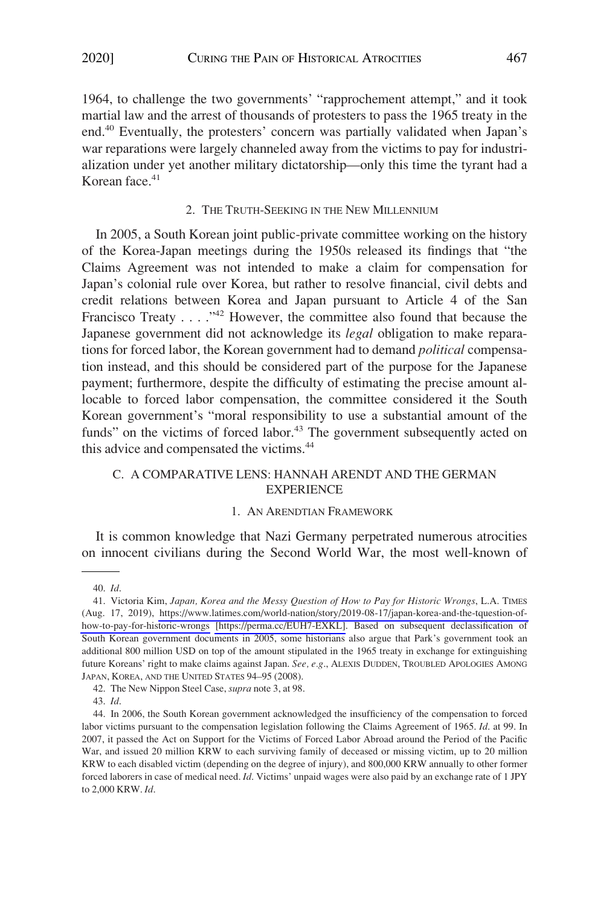1964, to challenge the two governments' "rapprochement attempt," and it took martial law and the arrest of thousands of protesters to pass the 1965 treaty in the end.40 Eventually, the protesters' concern was partially validated when Japan's war reparations were largely channeled away from the victims to pay for industrialization under yet another military dictatorship—only this time the tyrant had a Korean face.<sup>41</sup>

## 2. THE TRUTH-SEEKING IN THE NEW MILLENNIUM

In 2005, a South Korean joint public-private committee working on the history of the Korea-Japan meetings during the 1950s released its findings that "the Claims Agreement was not intended to make a claim for compensation for Japan's colonial rule over Korea, but rather to resolve financial, civil debts and credit relations between Korea and Japan pursuant to Article 4 of the San Francisco Treaty . . . . "<sup>42</sup> However, the committee also found that because the Japanese government did not acknowledge its *legal* obligation to make reparations for forced labor, the Korean government had to demand *political* compensation instead, and this should be considered part of the purpose for the Japanese payment; furthermore, despite the difficulty of estimating the precise amount allocable to forced labor compensation, the committee considered it the South Korean government's "moral responsibility to use a substantial amount of the funds" on the victims of forced labor. $43$  The government subsequently acted on this advice and compensated the victims.<sup>44</sup>

# C. A COMPARATIVE LENS: HANNAH ARENDT AND THE GERMAN **EXPERIENCE**

#### 1. AN ARENDTIAN FRAMEWORK

It is common knowledge that Nazi Germany perpetrated numerous atrocities on innocent civilians during the Second World War, the most well-known of

<sup>40.</sup> *Id*.

<sup>41.</sup> Victoria Kim, *Japan, Korea and the Messy Question of How to Pay for Historic Wrongs*, L.A. TIMES (Aug. 17, 2019), [https://www.latimes.com/world-nation/story/2019-08-17/japan-korea-and-the-tquestion-of](https://www.latimes.com/world-nation/story/2019-08-17/japan-korea-and-the-tquestion-of-how-to-pay-for-historic-wrongs)[how-to-pay-for-historic-wrongs](https://www.latimes.com/world-nation/story/2019-08-17/japan-korea-and-the-tquestion-of-how-to-pay-for-historic-wrongs) [\[https://perma.cc/EUH7-EXKL\]](https://perma.cc/EUH7-EXKL). Based on subsequent declassification of South Korean government documents in 2005, some historians also argue that Park's government took an additional 800 million USD on top of the amount stipulated in the 1965 treaty in exchange for extinguishing future Koreans' right to make claims against Japan. *See, e.g*., ALEXIS DUDDEN, TROUBLED APOLOGIES AMONG JAPAN, KOREA, AND THE UNITED STATES 94–95 (2008).

<sup>42.</sup> The New Nippon Steel Case, *supra* note 3, at 98.

<sup>43.</sup> *Id*.

<sup>44.</sup> In 2006, the South Korean government acknowledged the insufficiency of the compensation to forced labor victims pursuant to the compensation legislation following the Claims Agreement of 1965. *Id*. at 99. In 2007, it passed the Act on Support for the Victims of Forced Labor Abroad around the Period of the Pacific War, and issued 20 million KRW to each surviving family of deceased or missing victim, up to 20 million KRW to each disabled victim (depending on the degree of injury), and 800,000 KRW annually to other former forced laborers in case of medical need. *Id*. Victims' unpaid wages were also paid by an exchange rate of 1 JPY to 2,000 KRW. *Id*.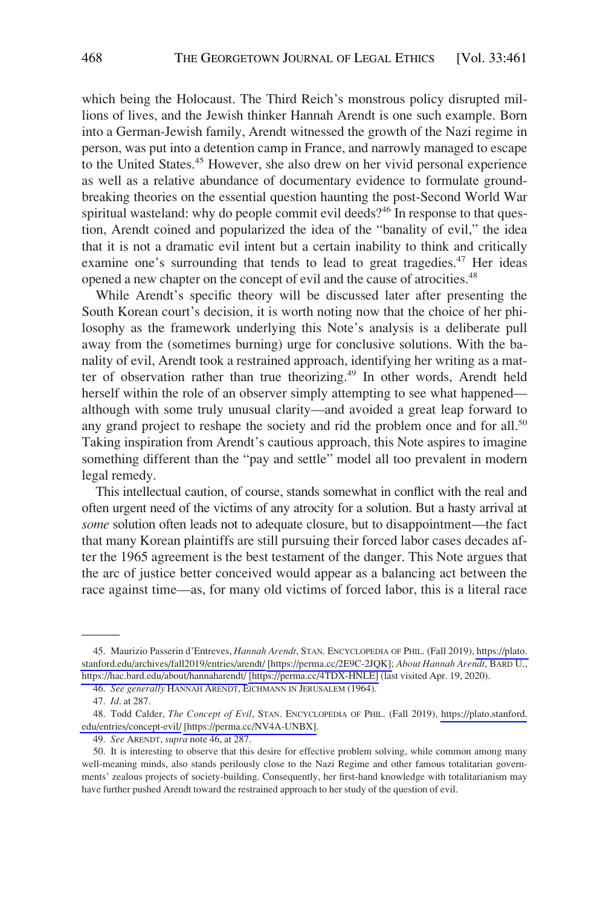which being the Holocaust. The Third Reich's monstrous policy disrupted millions of lives, and the Jewish thinker Hannah Arendt is one such example. Born into a German-Jewish family, Arendt witnessed the growth of the Nazi regime in person, was put into a detention camp in France, and narrowly managed to escape to the United States.<sup>45</sup> However, she also drew on her vivid personal experience as well as a relative abundance of documentary evidence to formulate groundbreaking theories on the essential question haunting the post-Second World War spiritual wasteland: why do people commit evil deeds?<sup>46</sup> In response to that question, Arendt coined and popularized the idea of the "banality of evil," the idea that it is not a dramatic evil intent but a certain inability to think and critically examine one's surrounding that tends to lead to great tragedies.<sup>47</sup> Her ideas opened a new chapter on the concept of evil and the cause of atrocities.<sup>48</sup>

While Arendt's specific theory will be discussed later after presenting the South Korean court's decision, it is worth noting now that the choice of her philosophy as the framework underlying this Note's analysis is a deliberate pull away from the (sometimes burning) urge for conclusive solutions. With the banality of evil, Arendt took a restrained approach, identifying her writing as a matter of observation rather than true theorizing.<sup>49</sup> In other words, Arendt held herself within the role of an observer simply attempting to see what happened although with some truly unusual clarity—and avoided a great leap forward to any grand project to reshape the society and rid the problem once and for all.<sup>50</sup> Taking inspiration from Arendt's cautious approach, this Note aspires to imagine something different than the "pay and settle" model all too prevalent in modern legal remedy.

This intellectual caution, of course, stands somewhat in conflict with the real and often urgent need of the victims of any atrocity for a solution. But a hasty arrival at *some* solution often leads not to adequate closure, but to disappointment—the fact that many Korean plaintiffs are still pursuing their forced labor cases decades after the 1965 agreement is the best testament of the danger. This Note argues that the arc of justice better conceived would appear as a balancing act between the race against time—as, for many old victims of forced labor, this is a literal race

<sup>45.</sup> Maurizio Passerin d'Entreves, *Hannah Arendt*, STAN. ENCYCLOPEDIA OF PHIL. (Fall 2019), https://plato. [stanford.edu/archives/fall2019/entries/arendt/](https://plato.stanford.edu/archives/fall2019/entries/arendt/) [\[https://perma.cc/2E9C-2JQK\];](https://perma.cc/2E9C-2JQK) *About Hannah Arendt*, BARD U., <https://hac.bard.edu/about/hannaharendt/> [\[https://perma.cc/4TDX-HNLE\]](https://perma.cc/4TDX-HNLE) (last visited Apr. 19, 2020).

<sup>46.</sup> *See generally* HANNAH ARENDT, EICHMANN IN JERUSALEM (1964).

<sup>47.</sup> *Id*. at 287.

<sup>48.</sup> Todd Calder, *The Concept of Evil*, STAN. ENCYCLOPEDIA OF PHIL. (Fall 2019), [https://plato.stanford.](https://plato.stanford.edu/entries/concept-evil/) [edu/entries/concept-evil/](https://plato.stanford.edu/entries/concept-evil/) [\[https://perma.cc/NV4A-UNBX\]](https://perma.cc/NV4A-UNBX).

<sup>49.</sup> *See* ARENDT, *supra* note 46, at 287.

<sup>50.</sup> It is interesting to observe that this desire for effective problem solving, while common among many well-meaning minds, also stands perilously close to the Nazi Regime and other famous totalitarian governments' zealous projects of society-building. Consequently, her first-hand knowledge with totalitarianism may have further pushed Arendt toward the restrained approach to her study of the question of evil.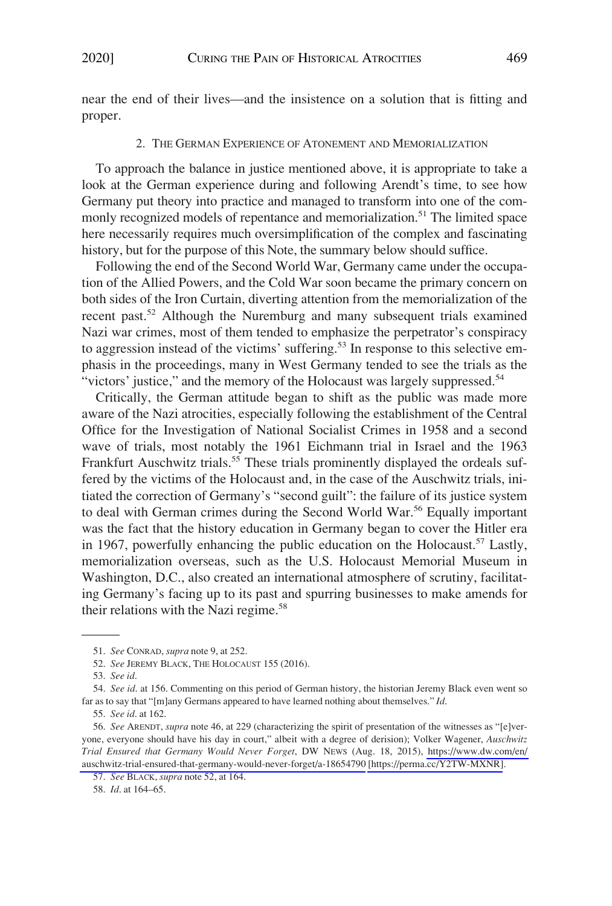near the end of their lives—and the insistence on a solution that is fitting and proper.

#### 2. THE GERMAN EXPERIENCE OF ATONEMENT AND MEMORIALIZATION

To approach the balance in justice mentioned above, it is appropriate to take a look at the German experience during and following Arendt's time, to see how Germany put theory into practice and managed to transform into one of the commonly recognized models of repentance and memorialization.<sup>51</sup> The limited space here necessarily requires much oversimplification of the complex and fascinating history, but for the purpose of this Note, the summary below should suffice.

Following the end of the Second World War, Germany came under the occupation of the Allied Powers, and the Cold War soon became the primary concern on both sides of the Iron Curtain, diverting attention from the memorialization of the recent past.<sup>52</sup> Although the Nuremburg and many subsequent trials examined Nazi war crimes, most of them tended to emphasize the perpetrator's conspiracy to aggression instead of the victims' suffering.<sup>53</sup> In response to this selective emphasis in the proceedings, many in West Germany tended to see the trials as the "victors' justice," and the memory of the Holocaust was largely suppressed.<sup>54</sup>

Critically, the German attitude began to shift as the public was made more aware of the Nazi atrocities, especially following the establishment of the Central Office for the Investigation of National Socialist Crimes in 1958 and a second wave of trials, most notably the 1961 Eichmann trial in Israel and the 1963 Frankfurt Auschwitz trials.<sup>55</sup> These trials prominently displayed the ordeals suffered by the victims of the Holocaust and, in the case of the Auschwitz trials, initiated the correction of Germany's "second guilt": the failure of its justice system to deal with German crimes during the Second World War.<sup>56</sup> Equally important was the fact that the history education in Germany began to cover the Hitler era in 1967, powerfully enhancing the public education on the Holocaust.<sup>57</sup> Lastly, memorialization overseas, such as the U.S. Holocaust Memorial Museum in Washington, D.C., also created an international atmosphere of scrutiny, facilitating Germany's facing up to its past and spurring businesses to make amends for their relations with the Nazi regime.<sup>58</sup>

58. *Id*. at 164–65.

<sup>51.</sup> *See* CONRAD, *supra* note 9, at 252.

<sup>52.</sup> *See* JEREMY BLACK, THE HOLOCAUST 155 (2016).

<sup>53.</sup> *See id*.

<sup>54.</sup> *See id*. at 156. Commenting on this period of German history, the historian Jeremy Black even went so far as to say that "[m]any Germans appeared to have learned nothing about themselves." *Id*.

<sup>55.</sup> *See id*. at 162.

<sup>56.</sup> See ARENDT, *supra* note 46, at 229 (characterizing the spirit of presentation of the witnesses as "[e]veryone, everyone should have his day in court," albeit with a degree of derision); Volker Wagener, *Auschwitz Trial Ensured that Germany Would Never Forget*, DW NEWS (Aug. 18, 2015), [https://www.dw.com/en/](https://www.dw.com/en/auschwitz-trial-ensured-that-germany-would-never-forget/a-18654790)  [auschwitz-trial-ensured-that-germany-would-never-forget/a-18654790](https://www.dw.com/en/auschwitz-trial-ensured-that-germany-would-never-forget/a-18654790) [\[https://perma.cc/Y2TW-MXNR\]](https://perma.cc/Y2TW-MXNR).

<sup>57.</sup> *See* BLACK, *supra* note 52, at 164.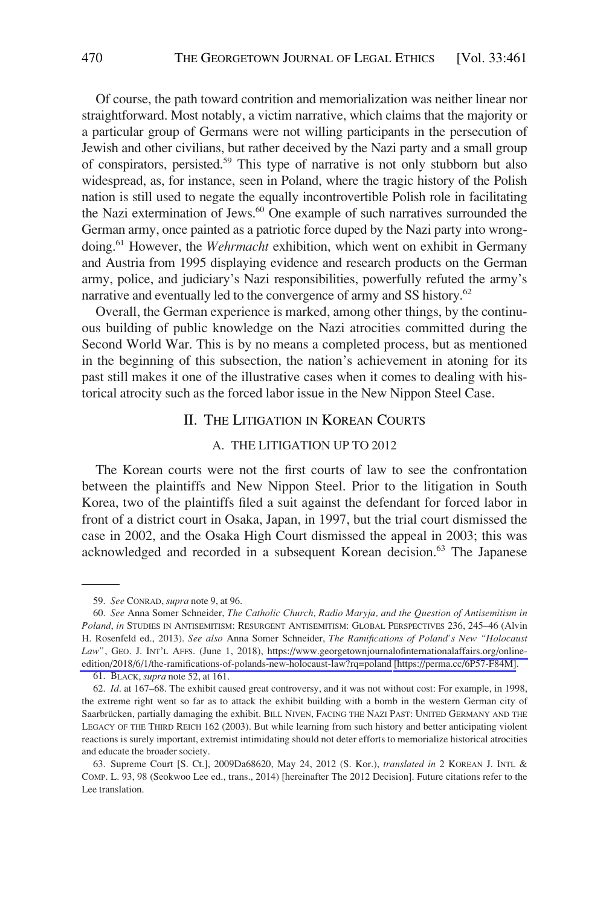Of course, the path toward contrition and memorialization was neither linear nor straightforward. Most notably, a victim narrative, which claims that the majority or a particular group of Germans were not willing participants in the persecution of Jewish and other civilians, but rather deceived by the Nazi party and a small group of conspirators, persisted.59 This type of narrative is not only stubborn but also widespread, as, for instance, seen in Poland, where the tragic history of the Polish nation is still used to negate the equally incontrovertible Polish role in facilitating the Nazi extermination of Jews.<sup>60</sup> One example of such narratives surrounded the German army, once painted as a patriotic force duped by the Nazi party into wrongdoing.61 However, the *Wehrmacht* exhibition, which went on exhibit in Germany and Austria from 1995 displaying evidence and research products on the German army, police, and judiciary's Nazi responsibilities, powerfully refuted the army's narrative and eventually led to the convergence of army and SS history.<sup>62</sup>

Overall, the German experience is marked, among other things, by the continuous building of public knowledge on the Nazi atrocities committed during the Second World War. This is by no means a completed process, but as mentioned in the beginning of this subsection, the nation's achievement in atoning for its past still makes it one of the illustrative cases when it comes to dealing with historical atrocity such as the forced labor issue in the New Nippon Steel Case.

# II. THE LITIGATION IN KOREAN COURTS

# A. THE LITIGATION UP TO 2012

The Korean courts were not the first courts of law to see the confrontation between the plaintiffs and New Nippon Steel. Prior to the litigation in South Korea, two of the plaintiffs filed a suit against the defendant for forced labor in front of a district court in Osaka, Japan, in 1997, but the trial court dismissed the case in 2002, and the Osaka High Court dismissed the appeal in 2003; this was acknowledged and recorded in a subsequent Korean decision.<sup>63</sup> The Japanese

<sup>59.</sup> *See* CONRAD, *supra* note 9, at 96.

*See* Anna Somer Schneider, *The Catholic Church, Radio Maryja, and the Question of Antisemitism in*  60. *Poland*, *in* STUDIES IN ANTISEMITISM: RESURGENT ANTISEMITISM: GLOBAL PERSPECTIVES 236, 245–46 (Alvin H. Rosenfeld ed., 2013). *See also* Anna Somer Schneider, *The Ramifications of Poland's New "Holocaust*  Law", GEO. J. INT'L AFFS. (June 1, 2018), [https://www.georgetownjournalofinternationalaffairs.org/online](https://www.georgetownjournalofinternationalaffairs.org/online-edition/2018/6/1/the-ramifications-of-polands-new-holocaust-law?rq=poland)[edition/2018/6/1/the-ramifications-of-polands-new-holocaust-law?rq=poland](https://www.georgetownjournalofinternationalaffairs.org/online-edition/2018/6/1/the-ramifications-of-polands-new-holocaust-law?rq=poland) [\[https://perma.cc/6P57-F84M\]](https://perma.cc/6P57-F84M).

<sup>61.</sup> BLACK, *supra* note 52, at 161.

<sup>62.</sup> *Id*. at 167–68. The exhibit caused great controversy, and it was not without cost: For example, in 1998, the extreme right went so far as to attack the exhibit building with a bomb in the western German city of Saarbrücken, partially damaging the exhibit. BILL NIVEN, FACING THE NAZI PAST: UNITED GERMANY AND THE LEGACY OF THE THIRD REICH 162 (2003). But while learning from such history and better anticipating violent reactions is surely important, extremist intimidating should not deter efforts to memorialize historical atrocities and educate the broader society.

<sup>63.</sup> Supreme Court [S. Ct.], 2009Da68620, May 24, 2012 (S. Kor.), *translated in* 2 KOREAN J. INTL & COMP. L. 93, 98 (Seokwoo Lee ed., trans., 2014) [hereinafter The 2012 Decision]. Future citations refer to the Lee translation.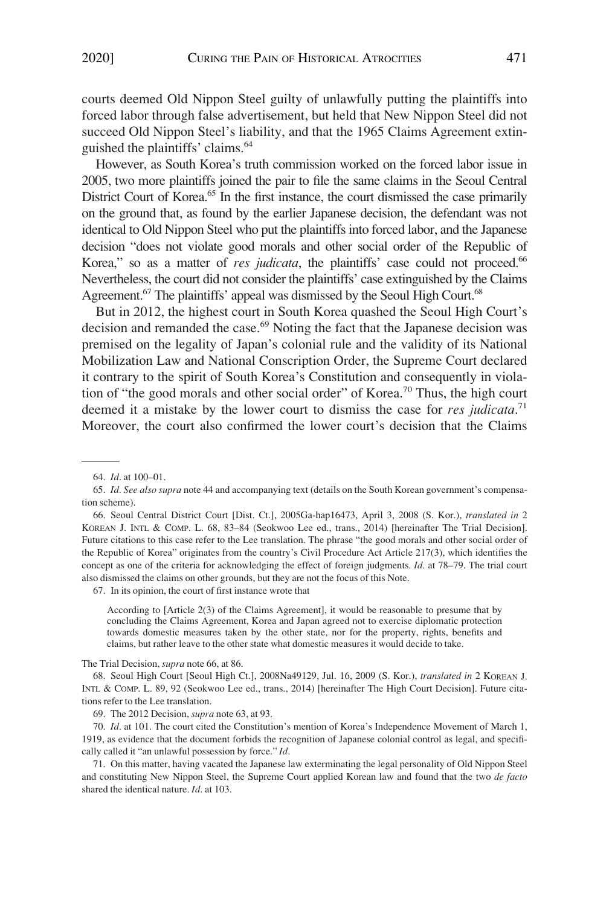courts deemed Old Nippon Steel guilty of unlawfully putting the plaintiffs into forced labor through false advertisement, but held that New Nippon Steel did not succeed Old Nippon Steel's liability, and that the 1965 Claims Agreement extinguished the plaintiffs' claims.64

However, as South Korea's truth commission worked on the forced labor issue in 2005, two more plaintiffs joined the pair to file the same claims in the Seoul Central District Court of Korea.<sup>65</sup> In the first instance, the court dismissed the case primarily on the ground that, as found by the earlier Japanese decision, the defendant was not identical to Old Nippon Steel who put the plaintiffs into forced labor, and the Japanese decision "does not violate good morals and other social order of the Republic of Korea," so as a matter of *res judicata*, the plaintiffs' case could not proceed.<sup>66</sup> Nevertheless, the court did not consider the plaintiffs' case extinguished by the Claims Agreement.<sup>67</sup> The plaintiffs' appeal was dismissed by the Seoul High Court.<sup>68</sup>

But in 2012, the highest court in South Korea quashed the Seoul High Court's decision and remanded the case.<sup>69</sup> Noting the fact that the Japanese decision was premised on the legality of Japan's colonial rule and the validity of its National Mobilization Law and National Conscription Order, the Supreme Court declared it contrary to the spirit of South Korea's Constitution and consequently in violation of "the good morals and other social order" of Korea.70 Thus, the high court deemed it a mistake by the lower court to dismiss the case for *res judicata*. 71 Moreover, the court also confirmed the lower court's decision that the Claims

67. In its opinion, the court of first instance wrote that

According to [Article 2(3) of the Claims Agreement], it would be reasonable to presume that by concluding the Claims Agreement, Korea and Japan agreed not to exercise diplomatic protection towards domestic measures taken by the other state, nor for the property, rights, benefits and claims, but rather leave to the other state what domestic measures it would decide to take.

The Trial Decision, *supra* note 66, at 86.

68. Seoul High Court [Seoul High Ct.], 2008Na49129, Jul. 16, 2009 (S. Kor.), *translated in* 2 KOREAN J. INTL & COMP. L. 89, 92 (Seokwoo Lee ed., trans., 2014) [hereinafter The High Court Decision]. Future citations refer to the Lee translation.

<sup>64.</sup> *Id*. at 100–01.

<sup>65.</sup> *Id. See also supra* note 44 and accompanying text (details on the South Korean government's compensation scheme).

<sup>66.</sup> Seoul Central District Court [Dist. Ct.], 2005Ga-hap16473, April 3, 2008 (S. Kor.), *translated in* 2 KOREAN J. INTL & COMP. L. 68, 83–84 (Seokwoo Lee ed., trans., 2014) [hereinafter The Trial Decision]. Future citations to this case refer to the Lee translation. The phrase "the good morals and other social order of the Republic of Korea" originates from the country's Civil Procedure Act Article 217(3), which identifies the concept as one of the criteria for acknowledging the effect of foreign judgments. *Id*. at 78–79. The trial court also dismissed the claims on other grounds, but they are not the focus of this Note.

<sup>69.</sup> The 2012 Decision, *supra* note 63, at 93.

<sup>70.</sup> *Id*. at 101. The court cited the Constitution's mention of Korea's Independence Movement of March 1, 1919, as evidence that the document forbids the recognition of Japanese colonial control as legal, and specifically called it "an unlawful possession by force." *Id*.

<sup>71.</sup> On this matter, having vacated the Japanese law exterminating the legal personality of Old Nippon Steel and constituting New Nippon Steel, the Supreme Court applied Korean law and found that the two *de facto*  shared the identical nature. *Id*. at 103.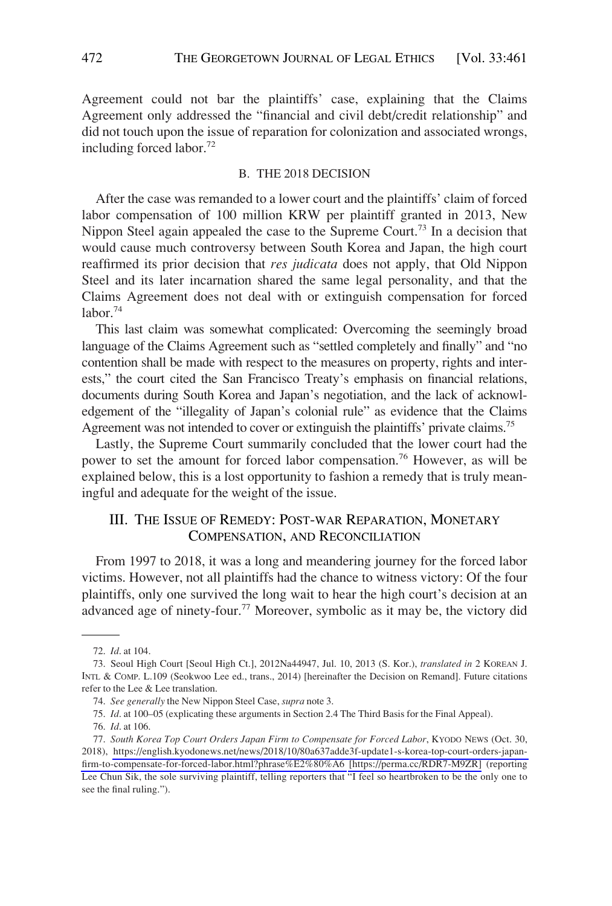Agreement could not bar the plaintiffs' case, explaining that the Claims Agreement only addressed the "financial and civil debt/credit relationship" and did not touch upon the issue of reparation for colonization and associated wrongs, including forced labor.72

#### B. THE 2018 DECISION

After the case was remanded to a lower court and the plaintiffs' claim of forced labor compensation of 100 million KRW per plaintiff granted in 2013, New Nippon Steel again appealed the case to the Supreme Court.<sup>73</sup> In a decision that would cause much controversy between South Korea and Japan, the high court reaffirmed its prior decision that *res judicata* does not apply, that Old Nippon Steel and its later incarnation shared the same legal personality, and that the Claims Agreement does not deal with or extinguish compensation for forced  $labor.<sup>74</sup>$ 

This last claim was somewhat complicated: Overcoming the seemingly broad language of the Claims Agreement such as "settled completely and finally" and "no contention shall be made with respect to the measures on property, rights and interests," the court cited the San Francisco Treaty's emphasis on financial relations, documents during South Korea and Japan's negotiation, and the lack of acknowledgement of the "illegality of Japan's colonial rule" as evidence that the Claims Agreement was not intended to cover or extinguish the plaintiffs' private claims.75

Lastly, the Supreme Court summarily concluded that the lower court had the power to set the amount for forced labor compensation.76 However, as will be explained below, this is a lost opportunity to fashion a remedy that is truly meaningful and adequate for the weight of the issue.

# III. THE ISSUE OF REMEDY: POST-WAR REPARATION, MONETARY COMPENSATION, AND RECONCILIATION

From 1997 to 2018, it was a long and meandering journey for the forced labor victims. However, not all plaintiffs had the chance to witness victory: Of the four plaintiffs, only one survived the long wait to hear the high court's decision at an advanced age of ninety-four.<sup>77</sup> Moreover, symbolic as it may be, the victory did

<sup>72.</sup> *Id*. at 104.

<sup>73.</sup> Seoul High Court [Seoul High Ct.], 2012Na44947, Jul. 10, 2013 (S. Kor.), *translated in* 2 KOREAN J. INTL & COMP. L.109 (Seokwoo Lee ed., trans., 2014) [hereinafter the Decision on Remand]. Future citations refer to the Lee & Lee translation.

<sup>74.</sup> *See generally* the New Nippon Steel Case, *supra* note 3.

<sup>75.</sup> *Id*. at 100–05 (explicating these arguments in Section 2.4 The Third Basis for the Final Appeal).

<sup>76.</sup> *Id*. at 106.

*South Korea Top Court Orders Japan Firm to Compensate for Forced Labor*, KYODO NEWS (Oct. 30, 77. 2018), [https://english.kyodonews.net/news/2018/10/80a637adde3f-update1-s-korea-top-court-orders-japan](https://english.kyodonews.net/news/2018/10/80a637adde3f-update1-s-korea-top-court-orders-japan-firm-to-compensate-for-forced-labor.html?phrase%E2%80%A6)[firm-to-compensate-for-forced-labor.html?phrase%E2%80%A6](https://english.kyodonews.net/news/2018/10/80a637adde3f-update1-s-korea-top-court-orders-japan-firm-to-compensate-for-forced-labor.html?phrase%E2%80%A6) [\[https://perma.cc/RDR7-M9ZR\]](https://perma.cc/RDR7-M9ZR) (reporting Lee Chun Sik, the sole surviving plaintiff, telling reporters that "I feel so heartbroken to be the only one to see the final ruling.").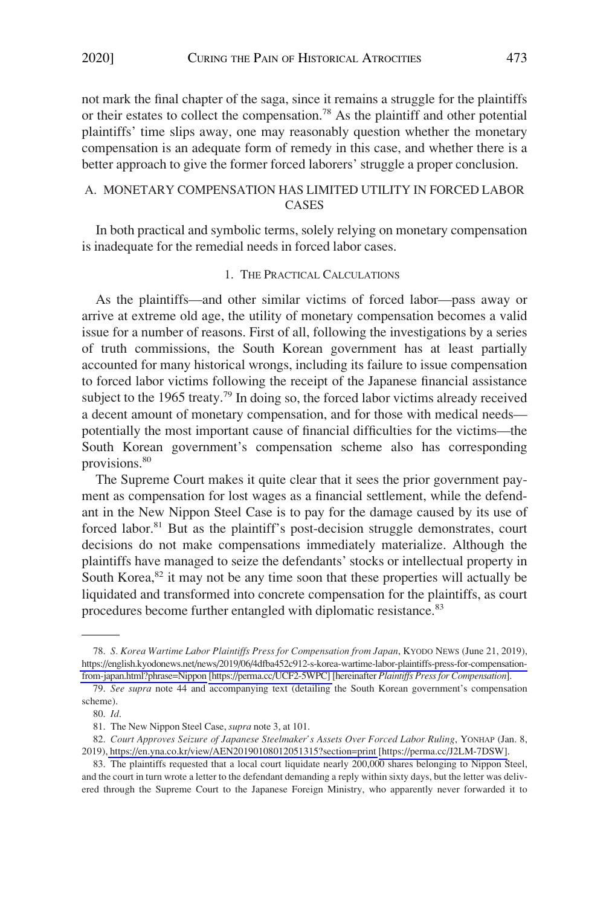not mark the final chapter of the saga, since it remains a struggle for the plaintiffs or their estates to collect the compensation.<sup>78</sup> As the plaintiff and other potential plaintiffs' time slips away, one may reasonably question whether the monetary compensation is an adequate form of remedy in this case, and whether there is a better approach to give the former forced laborers' struggle a proper conclusion.

# A. MONETARY COMPENSATION HAS LIMITED UTILITY IN FORCED LABOR **CASES**

In both practical and symbolic terms, solely relying on monetary compensation is inadequate for the remedial needs in forced labor cases.

#### 1. THE PRACTICAL CALCULATIONS

As the plaintiffs—and other similar victims of forced labor—pass away or arrive at extreme old age, the utility of monetary compensation becomes a valid issue for a number of reasons. First of all, following the investigations by a series of truth commissions, the South Korean government has at least partially accounted for many historical wrongs, including its failure to issue compensation to forced labor victims following the receipt of the Japanese financial assistance subject to the 1965 treaty.<sup>79</sup> In doing so, the forced labor victims already received a decent amount of monetary compensation, and for those with medical needs potentially the most important cause of financial difficulties for the victims—the South Korean government's compensation scheme also has corresponding provisions.<sup>80</sup>

The Supreme Court makes it quite clear that it sees the prior government payment as compensation for lost wages as a financial settlement, while the defendant in the New Nippon Steel Case is to pay for the damage caused by its use of forced labor.<sup>81</sup> But as the plaintiff's post-decision struggle demonstrates, court decisions do not make compensations immediately materialize. Although the plaintiffs have managed to seize the defendants' stocks or intellectual property in South Korea, $82$  it may not be any time soon that these properties will actually be liquidated and transformed into concrete compensation for the plaintiffs, as court procedures become further entangled with diplomatic resistance.<sup>83</sup>

*S. Korea Wartime Labor Plaintiffs Press for Compensation from Japan*, KYODO NEWS (June 21, 2019), 78. [https://english.kyodonews.net/news/2019/06/4dfba452c912-s-korea-wartime-labor-plaintiffs-press-for-compensation](https://english.kyodonews.net/news/2019/06/4dfba452c912-s-korea-wartime-labor-plaintiffs-press-for-compensation-from-japan.html?phrase=Nippon)[from-japan.html?phrase=Nippon](https://english.kyodonews.net/news/2019/06/4dfba452c912-s-korea-wartime-labor-plaintiffs-press-for-compensation-from-japan.html?phrase=Nippon) [\[https://perma.cc/UCF2-5WPC\]](https://perma.cc/UCF2-5WPC) [hereinafter *Plaintiffs Press for Compensation*].

<sup>79.</sup> *See supra* note 44 and accompanying text (detailing the South Korean government's compensation scheme).

<sup>80.</sup> *Id*.

<sup>81.</sup> The New Nippon Steel Case, *supra* note 3, at 101.

*Court Approves Seizure of Japanese Steelmaker's Assets Over Forced Labor Ruling*, YONHAP (Jan. 8, 82. 2019),<https://en.yna.co.kr/view/AEN20190108012051315?section=print>[\[https://perma.cc/J2LM-7DSW\]](https://perma.cc/J2LM-7DSW).

<sup>83.</sup>  The plaintiffs requested that a local court liquidate nearly 200,000 shares belonging to Nippon Steel, and the court in turn wrote a letter to the defendant demanding a reply within sixty days, but the letter was delivered through the Supreme Court to the Japanese Foreign Ministry, who apparently never forwarded it to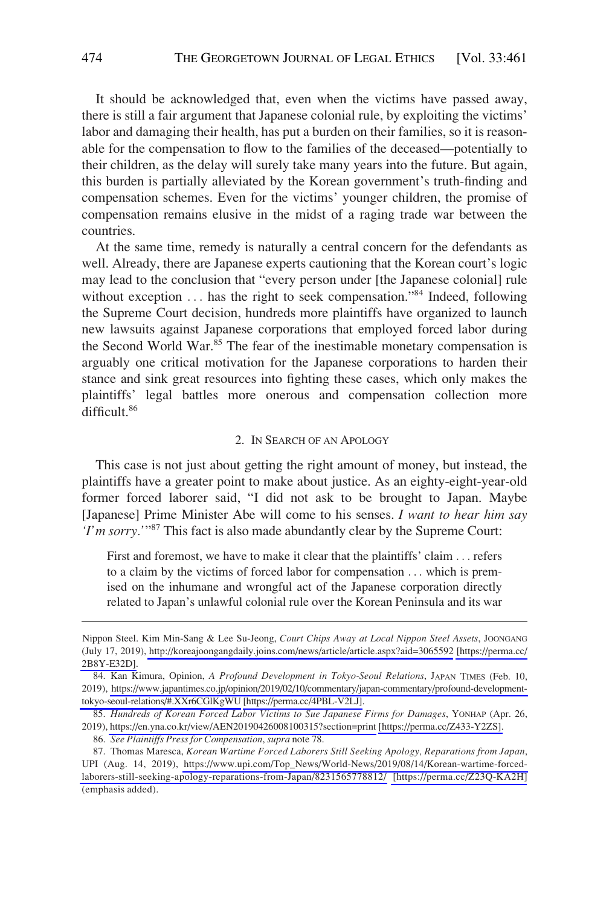It should be acknowledged that, even when the victims have passed away, there is still a fair argument that Japanese colonial rule, by exploiting the victims' labor and damaging their health, has put a burden on their families, so it is reasonable for the compensation to flow to the families of the deceased—potentially to their children, as the delay will surely take many years into the future. But again, this burden is partially alleviated by the Korean government's truth-finding and compensation schemes. Even for the victims' younger children, the promise of compensation remains elusive in the midst of a raging trade war between the countries.

At the same time, remedy is naturally a central concern for the defendants as well. Already, there are Japanese experts cautioning that the Korean court's logic may lead to the conclusion that "every person under [the Japanese colonial] rule without exception ... has the right to seek compensation."<sup>84</sup> Indeed, following the Supreme Court decision, hundreds more plaintiffs have organized to launch new lawsuits against Japanese corporations that employed forced labor during the Second World War.<sup>85</sup> The fear of the inestimable monetary compensation is arguably one critical motivation for the Japanese corporations to harden their stance and sink great resources into fighting these cases, which only makes the plaintiffs' legal battles more onerous and compensation collection more difficult.86

#### 2. IN SEARCH OF AN APOLOGY

This case is not just about getting the right amount of money, but instead, the plaintiffs have a greater point to make about justice. As an eighty-eight-year-old former forced laborer said, "I did not ask to be brought to Japan. Maybe [Japanese] Prime Minister Abe will come to his senses. *I want to hear him say 'I'm sorry.'*"87 This fact is also made abundantly clear by the Supreme Court:

First and foremost, we have to make it clear that the plaintiffs' claim . . . refers to a claim by the victims of forced labor for compensation . . . which is premised on the inhumane and wrongful act of the Japanese corporation directly related to Japan's unlawful colonial rule over the Korean Peninsula and its war

Nippon Steel. Kim Min-Sang & Lee Su-Jeong, *Court Chips Away at Local Nippon Steel Assets*, JOONGANG (July 17, 2019),<http://koreajoongangdaily.joins.com/news/article/article.aspx?aid=3065592> [\[https://perma.cc/](https://perma.cc/2B8Y-E32D)  [2B8Y-E32D\].](https://perma.cc/2B8Y-E32D)

<sup>84.</sup>  Kan Kimura, Opinion, *A Profound Development in Tokyo-Seoul Relations*, JAPAN TIMES (Feb. 10, 2019), [https://www.japantimes.co.jp/opinion/2019/02/10/commentary/japan-commentary/profound-development](https://www.japantimes.co.jp/opinion/2019/02/10/commentary/japan-commentary/profound-development-tokyo-seoul-relations/#.XXr6CGlKgWU)[tokyo-seoul-relations/#.XXr6CGlKgWU](https://www.japantimes.co.jp/opinion/2019/02/10/commentary/japan-commentary/profound-development-tokyo-seoul-relations/#.XXr6CGlKgWU) [\[https://perma.cc/4PBL-V2LJ\].](https://perma.cc/4PBL-V2LJ)

*Hundreds of Korean Forced Labor Victims to Sue Japanese Firms for Damages*, YONHAP (Apr. 26, 85. 2019),<https://en.yna.co.kr/view/AEN20190426008100315?section=print>[\[https://perma.cc/Z433-Y2ZS\].](https://perma.cc/Z433-Y2ZS)

<sup>86.</sup> *See Plaintiffs Press for Compensation*, *supra* note 78.

<sup>87.</sup> Thomas Maresca, *Korean Wartime Forced Laborers Still Seeking Apology, Reparations from Japan*, UPI (Aug. 14, 2019), [https://www.upi.com/Top\\_News/World-News/2019/08/14/Korean-wartime-forced](https://www.upi.com/Top_News/World-News/2019/08/14/Korean-wartime-forced-laborers-still-seeking-apology-reparations-from-Japan/8231565778812/)[laborers-still-seeking-apology-reparations-from-Japan/8231565778812/](https://www.upi.com/Top_News/World-News/2019/08/14/Korean-wartime-forced-laborers-still-seeking-apology-reparations-from-Japan/8231565778812/) [\[https://perma.cc/Z23Q-KA2H\]](https://perma.cc/Z23Q-KA2H) (emphasis added).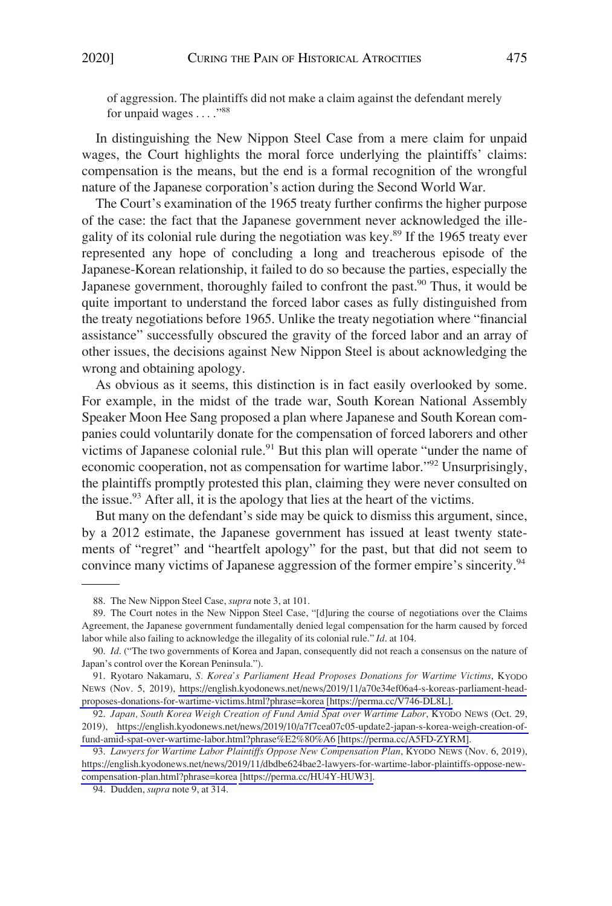In distinguishing the New Nippon Steel Case from a mere claim for unpaid wages, the Court highlights the moral force underlying the plaintiffs' claims: compensation is the means, but the end is a formal recognition of the wrongful nature of the Japanese corporation's action during the Second World War.

The Court's examination of the 1965 treaty further confirms the higher purpose of the case: the fact that the Japanese government never acknowledged the illegality of its colonial rule during the negotiation was key.89 If the 1965 treaty ever represented any hope of concluding a long and treacherous episode of the Japanese-Korean relationship, it failed to do so because the parties, especially the Japanese government, thoroughly failed to confront the past.<sup>90</sup> Thus, it would be quite important to understand the forced labor cases as fully distinguished from the treaty negotiations before 1965. Unlike the treaty negotiation where "financial assistance" successfully obscured the gravity of the forced labor and an array of other issues, the decisions against New Nippon Steel is about acknowledging the wrong and obtaining apology.

As obvious as it seems, this distinction is in fact easily overlooked by some. For example, in the midst of the trade war, South Korean National Assembly Speaker Moon Hee Sang proposed a plan where Japanese and South Korean companies could voluntarily donate for the compensation of forced laborers and other victims of Japanese colonial rule.<sup>91</sup> But this plan will operate "under the name of economic cooperation, not as compensation for wartime labor."<sup>92</sup> Unsurprisingly, the plaintiffs promptly protested this plan, claiming they were never consulted on the issue. $93$  After all, it is the apology that lies at the heart of the victims.

But many on the defendant's side may be quick to dismiss this argument, since, by a 2012 estimate, the Japanese government has issued at least twenty statements of "regret" and "heartfelt apology" for the past, but that did not seem to convince many victims of Japanese aggression of the former empire's sincerity.<sup>94</sup>

<sup>88.</sup> The New Nippon Steel Case, *supra* note 3, at 101.

<sup>89.</sup> The Court notes in the New Nippon Steel Case, "[d]uring the course of negotiations over the Claims Agreement, the Japanese government fundamentally denied legal compensation for the harm caused by forced labor while also failing to acknowledge the illegality of its colonial rule." *Id*. at 104.

<sup>90.</sup> *Id*. ("The two governments of Korea and Japan, consequently did not reach a consensus on the nature of Japan's control over the Korean Peninsula.").

<sup>91.</sup> Ryotaro Nakamaru, *S. Korea's Parliament Head Proposes Donations for Wartime Victims*, KYODO NEWS (Nov. 5, 2019), [https://english.kyodonews.net/news/2019/11/a70e34ef06a4-s-koreas-parliament-head](https://english.kyodonews.net/news/2019/11/a70e34ef06a4-s-koreas-parliament-head-proposes-donations-for-wartime-victims.html?phrase=korea)[proposes-donations-for-wartime-victims.html?phrase=korea](https://english.kyodonews.net/news/2019/11/a70e34ef06a4-s-koreas-parliament-head-proposes-donations-for-wartime-victims.html?phrase=korea) [\[https://perma.cc/V746-DL8L\].](https://perma.cc/V746-DL8L)

*Japan, South Korea Weigh Creation of Fund Amid Spat over Wartime Labor*, KYODO NEWS (Oct. 29, 92. 2019), [https://english.kyodonews.net/news/2019/10/a7f7cea07c05-update2-japan-s-korea-weigh-creation-of](https://english.kyodonews.net/news/2019/10/a7f7cea07c05-update2-japan-s-korea-weigh-creation-of-fund-amid-spat-over-wartime-labor.html?phrase%E2%80%A6)[fund-amid-spat-over-wartime-labor.html?phrase%E2%80%A6](https://english.kyodonews.net/news/2019/10/a7f7cea07c05-update2-japan-s-korea-weigh-creation-of-fund-amid-spat-over-wartime-labor.html?phrase%E2%80%A6) [\[https://perma.cc/A5FD-ZYRM\]](https://perma.cc/A5FD-ZYRM).

<sup>93.</sup> Lawyers for Wartime Labor Plaintiffs Oppose New Compensation Plan, KYODO NEWS (Nov. 6, 2019), [https://english.kyodonews.net/news/2019/11/dbdbe624bae2-lawyers-for-wartime-labor-plaintiffs-oppose-new](https://english.kyodonews.net/news/2019/11/dbdbe624bae2-lawyers-for-wartime-labor-plaintiffs-oppose-new-compensation-plan.html?phrase=korea)[compensation-plan.html?phrase=korea](https://english.kyodonews.net/news/2019/11/dbdbe624bae2-lawyers-for-wartime-labor-plaintiffs-oppose-new-compensation-plan.html?phrase=korea) [\[https://perma.cc/HU4Y-HUW3\].](https://perma.cc/HU4Y-HUW3)

<sup>94.</sup> Dudden, *supra* note 9, at 314.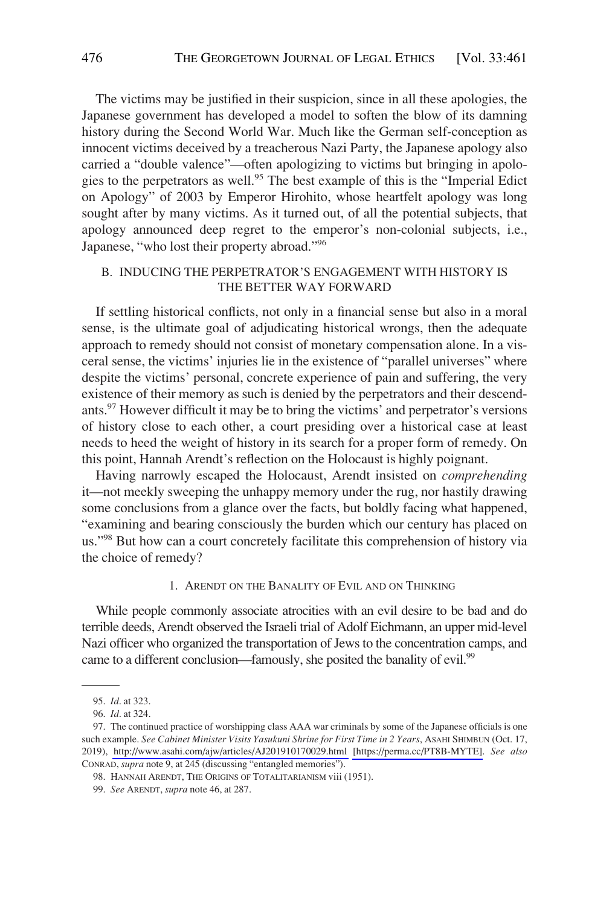The victims may be justified in their suspicion, since in all these apologies, the Japanese government has developed a model to soften the blow of its damning history during the Second World War. Much like the German self-conception as innocent victims deceived by a treacherous Nazi Party, the Japanese apology also carried a "double valence"—often apologizing to victims but bringing in apologies to the perpetrators as well.<sup>95</sup> The best example of this is the "Imperial Edict on Apology" of 2003 by Emperor Hirohito, whose heartfelt apology was long sought after by many victims. As it turned out, of all the potential subjects, that apology announced deep regret to the emperor's non-colonial subjects, i.e., Japanese, "who lost their property abroad."96

## B. INDUCING THE PERPETRATOR'S ENGAGEMENT WITH HISTORY IS THE BETTER WAY FORWARD

If settling historical conflicts, not only in a financial sense but also in a moral sense, is the ultimate goal of adjudicating historical wrongs, then the adequate approach to remedy should not consist of monetary compensation alone. In a visceral sense, the victims' injuries lie in the existence of "parallel universes" where despite the victims' personal, concrete experience of pain and suffering, the very existence of their memory as such is denied by the perpetrators and their descendants.<sup>97</sup> However difficult it may be to bring the victims' and perpetrator's versions of history close to each other, a court presiding over a historical case at least needs to heed the weight of history in its search for a proper form of remedy. On this point, Hannah Arendt's reflection on the Holocaust is highly poignant.

Having narrowly escaped the Holocaust, Arendt insisted on *comprehending*  it—not meekly sweeping the unhappy memory under the rug, nor hastily drawing some conclusions from a glance over the facts, but boldly facing what happened, "examining and bearing consciously the burden which our century has placed on us."<sup>98</sup> But how can a court concretely facilitate this comprehension of history via the choice of remedy?

#### 1. ARENDT ON THE BANALITY OF EVIL AND ON THINKING

While people commonly associate atrocities with an evil desire to be bad and do terrible deeds, Arendt observed the Israeli trial of Adolf Eichmann, an upper mid-level Nazi officer who organized the transportation of Jews to the concentration camps, and came to a different conclusion—famously, she posited the banality of evil.<sup>99</sup>

<sup>95.</sup> *Id*. at 323.

<sup>96.</sup> *Id*. at 324.

<sup>97.</sup> The continued practice of worshipping class AAA war criminals by some of the Japanese officials is one such example. *See Cabinet Minister Visits Yasukuni Shrine for First Time in 2 Years*, ASAHI SHIMBUN (Oct. 17, 2019), <http://www.asahi.com/ajw/articles/AJ201910170029.html>[\[https://perma.cc/PT8B-MYTE\].](https://perma.cc/PT8B-MYTE) *See also*  CONRAD, *supra* note 9, at 245 (discussing "entangled memories").

<sup>98.</sup> HANNAH ARENDT, THE ORIGINS OF TOTALITARIANISM viii (1951).

<sup>99.</sup> *See* ARENDT, *supra* note 46, at 287.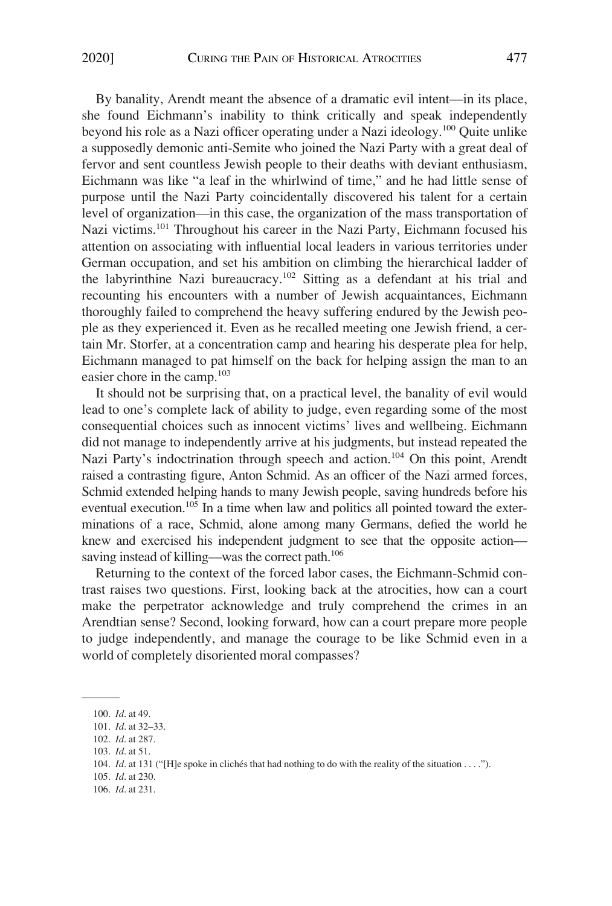By banality, Arendt meant the absence of a dramatic evil intent—in its place, she found Eichmann's inability to think critically and speak independently beyond his role as a Nazi officer operating under a Nazi ideology.<sup>100</sup> Quite unlike a supposedly demonic anti-Semite who joined the Nazi Party with a great deal of fervor and sent countless Jewish people to their deaths with deviant enthusiasm, Eichmann was like "a leaf in the whirlwind of time," and he had little sense of purpose until the Nazi Party coincidentally discovered his talent for a certain level of organization—in this case, the organization of the mass transportation of Nazi victims.<sup>101</sup> Throughout his career in the Nazi Party, Eichmann focused his attention on associating with influential local leaders in various territories under German occupation, and set his ambition on climbing the hierarchical ladder of the labyrinthine Nazi bureaucracy.<sup>102</sup> Sitting as a defendant at his trial and recounting his encounters with a number of Jewish acquaintances, Eichmann thoroughly failed to comprehend the heavy suffering endured by the Jewish people as they experienced it. Even as he recalled meeting one Jewish friend, a certain Mr. Storfer, at a concentration camp and hearing his desperate plea for help, Eichmann managed to pat himself on the back for helping assign the man to an easier chore in the camp.<sup>103</sup>

It should not be surprising that, on a practical level, the banality of evil would lead to one's complete lack of ability to judge, even regarding some of the most consequential choices such as innocent victims' lives and wellbeing. Eichmann did not manage to independently arrive at his judgments, but instead repeated the Nazi Party's indoctrination through speech and action.<sup>104</sup> On this point, Arendt raised a contrasting figure, Anton Schmid. As an officer of the Nazi armed forces, Schmid extended helping hands to many Jewish people, saving hundreds before his eventual execution.<sup>105</sup> In a time when law and politics all pointed toward the exterminations of a race, Schmid, alone among many Germans, defied the world he knew and exercised his independent judgment to see that the opposite action saving instead of killing—was the correct path.<sup>106</sup>

Returning to the context of the forced labor cases, the Eichmann-Schmid contrast raises two questions. First, looking back at the atrocities, how can a court make the perpetrator acknowledge and truly comprehend the crimes in an Arendtian sense? Second, looking forward, how can a court prepare more people to judge independently, and manage the courage to be like Schmid even in a world of completely disoriented moral compasses?

105. *Id*. at 230.

<sup>100.</sup> *Id*. at 49.

<sup>101.</sup> *Id*. at 32–33.

<sup>102.</sup> *Id*. at 287.

<sup>103.</sup> *Id*. at 51.

<sup>104.</sup> *Id.* at 131 ("[H]e spoke in cliches that had nothing to do with the reality of the situation . . . .").

<sup>106.</sup> *Id*. at 231.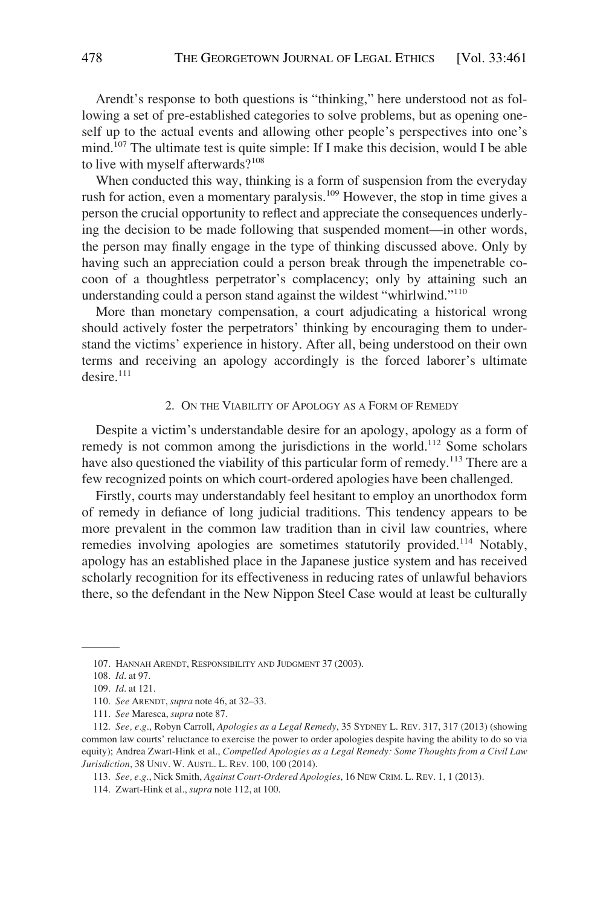Arendt's response to both questions is "thinking," here understood not as following a set of pre-established categories to solve problems, but as opening oneself up to the actual events and allowing other people's perspectives into one's mind.107 The ultimate test is quite simple: If I make this decision, would I be able to live with myself afterwards?<sup>108</sup>

When conducted this way, thinking is a form of suspension from the everyday rush for action, even a momentary paralysis.<sup>109</sup> However, the stop in time gives a person the crucial opportunity to reflect and appreciate the consequences underlying the decision to be made following that suspended moment—in other words, the person may finally engage in the type of thinking discussed above. Only by having such an appreciation could a person break through the impenetrable cocoon of a thoughtless perpetrator's complacency; only by attaining such an understanding could a person stand against the wildest "whirlwind."110

More than monetary compensation, a court adjudicating a historical wrong should actively foster the perpetrators' thinking by encouraging them to understand the victims' experience in history. After all, being understood on their own terms and receiving an apology accordingly is the forced laborer's ultimate  $desire.<sup>111</sup>$ 

#### 2. ON THE VIABILITY OF APOLOGY AS A FORM OF REMEDY

Despite a victim's understandable desire for an apology, apology as a form of remedy is not common among the jurisdictions in the world.<sup>112</sup> Some scholars have also questioned the viability of this particular form of remedy.<sup>113</sup> There are a few recognized points on which court-ordered apologies have been challenged.

Firstly, courts may understandably feel hesitant to employ an unorthodox form of remedy in defiance of long judicial traditions. This tendency appears to be more prevalent in the common law tradition than in civil law countries, where remedies involving apologies are sometimes statutorily provided.<sup>114</sup> Notably, apology has an established place in the Japanese justice system and has received scholarly recognition for its effectiveness in reducing rates of unlawful behaviors there, so the defendant in the New Nippon Steel Case would at least be culturally

<sup>107.</sup> HANNAH ARENDT, RESPONSIBILITY AND JUDGMENT 37 (2003).

<sup>108.</sup> *Id*. at 97.

<sup>109.</sup> *Id*. at 121.

<sup>110.</sup> *See* ARENDT, *supra* note 46, at 32–33.

<sup>111.</sup> *See* Maresca, *supra* note 87.

<sup>112.</sup> *See, e.g*., Robyn Carroll, *Apologies as a Legal Remedy*, 35 SYDNEY L. REV. 317, 317 (2013) (showing common law courts' reluctance to exercise the power to order apologies despite having the ability to do so via equity); Andrea Zwart-Hink et al., *Compelled Apologies as a Legal Remedy: Some Thoughts from a Civil Law Jurisdiction*, 38 UNIV. W. AUSTL. L. REV. 100, 100 (2014).

<sup>113.</sup> *See, e.g*., Nick Smith, *Against Court-Ordered Apologies*, 16 NEW CRIM. L. REV. 1, 1 (2013).

<sup>114.</sup> Zwart-Hink et al., *supra* note 112, at 100.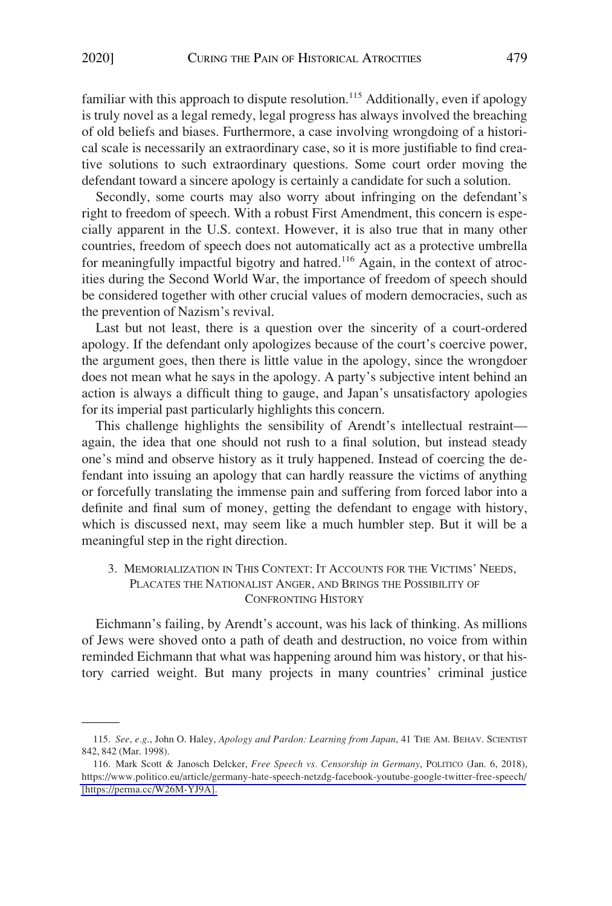familiar with this approach to dispute resolution.<sup>115</sup> Additionally, even if apology is truly novel as a legal remedy, legal progress has always involved the breaching of old beliefs and biases. Furthermore, a case involving wrongdoing of a historical scale is necessarily an extraordinary case, so it is more justifiable to find creative solutions to such extraordinary questions. Some court order moving the defendant toward a sincere apology is certainly a candidate for such a solution.

Secondly, some courts may also worry about infringing on the defendant's right to freedom of speech. With a robust First Amendment, this concern is especially apparent in the U.S. context. However, it is also true that in many other countries, freedom of speech does not automatically act as a protective umbrella for meaningfully impactful bigotry and hatred.<sup>116</sup> Again, in the context of atrocities during the Second World War, the importance of freedom of speech should be considered together with other crucial values of modern democracies, such as the prevention of Nazism's revival.

Last but not least, there is a question over the sincerity of a court-ordered apology. If the defendant only apologizes because of the court's coercive power, the argument goes, then there is little value in the apology, since the wrongdoer does not mean what he says in the apology. A party's subjective intent behind an action is always a difficult thing to gauge, and Japan's unsatisfactory apologies for its imperial past particularly highlights this concern.

This challenge highlights the sensibility of Arendt's intellectual restraint again, the idea that one should not rush to a final solution, but instead steady one's mind and observe history as it truly happened. Instead of coercing the defendant into issuing an apology that can hardly reassure the victims of anything or forcefully translating the immense pain and suffering from forced labor into a definite and final sum of money, getting the defendant to engage with history, which is discussed next, may seem like a much humbler step. But it will be a meaningful step in the right direction.

3. MEMORIALIZATION IN THIS CONTEXT: IT ACCOUNTS FOR THE VICTIMS' NEEDS, PLACATES THE NATIONALIST ANGER, AND BRINGS THE POSSIBILITY OF CONFRONTING HISTORY

Eichmann's failing, by Arendt's account, was his lack of thinking. As millions of Jews were shoved onto a path of death and destruction, no voice from within reminded Eichmann that what was happening around him was history, or that history carried weight. But many projects in many countries' criminal justice

<sup>115.</sup> *See*, *e.g*., John O. Haley, *Apology and Pardon: Learning from Japan*, 41 THE AM. BEHAV. SCIENTIST 842, 842 (Mar. 1998).

<sup>116.</sup> Mark Scott & Janosch Delcker, *Free Speech vs. Censorship in Germany*, POLITICO (Jan. 6, 2018), <https://www.politico.eu/article/germany-hate-speech-netzdg-facebook-youtube-google-twitter-free-speech/> [\[https://perma.cc/W26M-YJ9A\].](https://perma.cc/W26M-YJ9A)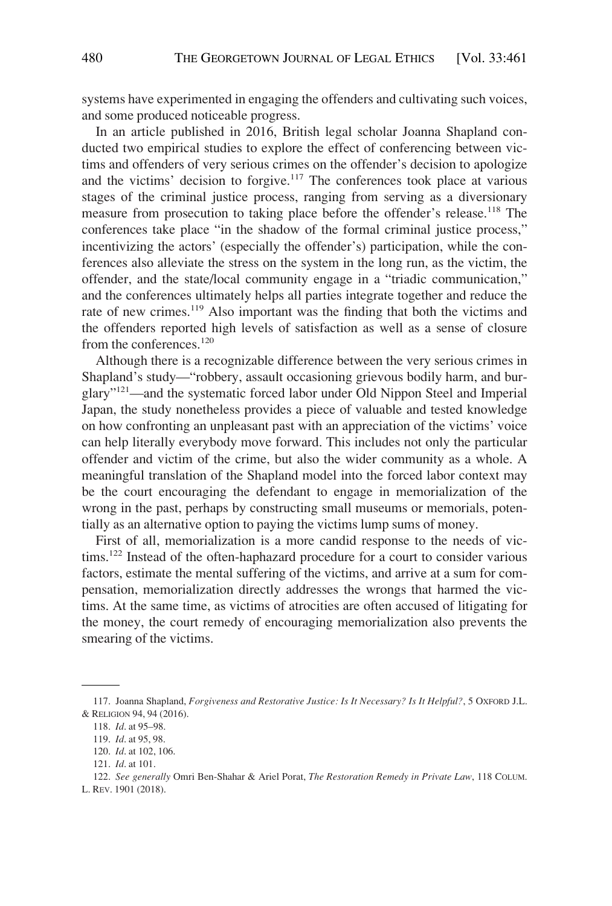systems have experimented in engaging the offenders and cultivating such voices, and some produced noticeable progress.

In an article published in 2016, British legal scholar Joanna Shapland conducted two empirical studies to explore the effect of conferencing between victims and offenders of very serious crimes on the offender's decision to apologize and the victims' decision to forgive.<sup>117</sup> The conferences took place at various stages of the criminal justice process, ranging from serving as a diversionary measure from prosecution to taking place before the offender's release.118 The conferences take place "in the shadow of the formal criminal justice process," incentivizing the actors' (especially the offender's) participation, while the conferences also alleviate the stress on the system in the long run, as the victim, the offender, and the state/local community engage in a "triadic communication," and the conferences ultimately helps all parties integrate together and reduce the rate of new crimes.<sup>119</sup> Also important was the finding that both the victims and the offenders reported high levels of satisfaction as well as a sense of closure from the conferences.<sup>120</sup>

Although there is a recognizable difference between the very serious crimes in Shapland's study—"robbery, assault occasioning grievous bodily harm, and burglary"121—and the systematic forced labor under Old Nippon Steel and Imperial Japan, the study nonetheless provides a piece of valuable and tested knowledge on how confronting an unpleasant past with an appreciation of the victims' voice can help literally everybody move forward. This includes not only the particular offender and victim of the crime, but also the wider community as a whole. A meaningful translation of the Shapland model into the forced labor context may be the court encouraging the defendant to engage in memorialization of the wrong in the past, perhaps by constructing small museums or memorials, potentially as an alternative option to paying the victims lump sums of money.

First of all, memorialization is a more candid response to the needs of victims.<sup>122</sup> Instead of the often-haphazard procedure for a court to consider various factors, estimate the mental suffering of the victims, and arrive at a sum for compensation, memorialization directly addresses the wrongs that harmed the victims. At the same time, as victims of atrocities are often accused of litigating for the money, the court remedy of encouraging memorialization also prevents the smearing of the victims.

<sup>117.</sup> Joanna Shapland, *Forgiveness and Restorative Justice: Is It Necessary? Is It Helpful?*, 5 OXFORD J.L. & RELIGION 94, 94 (2016).

<sup>118.</sup> *Id*. at 95–98.

<sup>119.</sup> *Id*. at 95, 98.

<sup>120.</sup> *Id*. at 102, 106.

<sup>121.</sup> *Id*. at 101.

<sup>122.</sup> *See generally* Omri Ben-Shahar & Ariel Porat, *The Restoration Remedy in Private Law*, 118 COLUM. L. REV. 1901 (2018).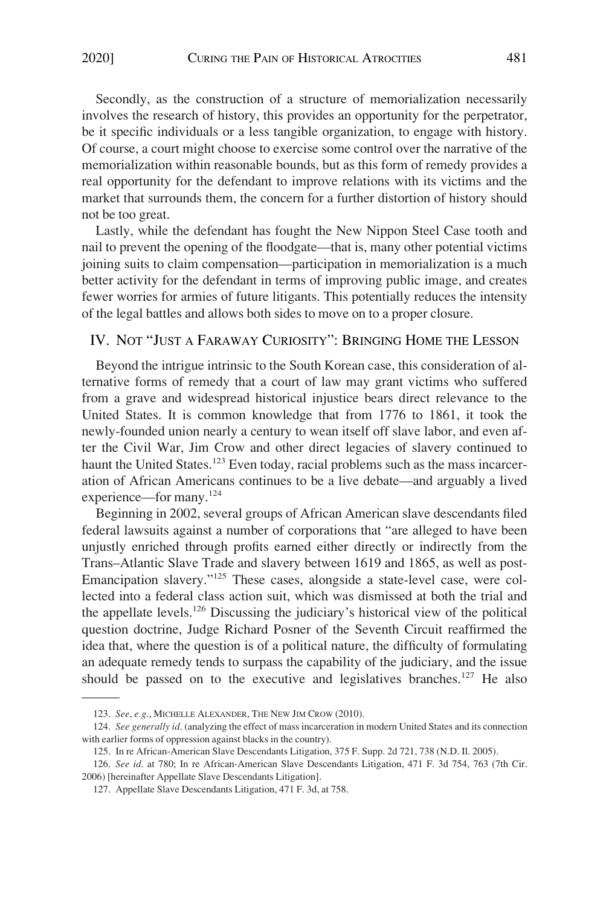Secondly, as the construction of a structure of memorialization necessarily involves the research of history, this provides an opportunity for the perpetrator, be it specific individuals or a less tangible organization, to engage with history. Of course, a court might choose to exercise some control over the narrative of the memorialization within reasonable bounds, but as this form of remedy provides a real opportunity for the defendant to improve relations with its victims and the market that surrounds them, the concern for a further distortion of history should not be too great.

Lastly, while the defendant has fought the New Nippon Steel Case tooth and nail to prevent the opening of the floodgate—that is, many other potential victims joining suits to claim compensation––participation in memorialization is a much better activity for the defendant in terms of improving public image, and creates fewer worries for armies of future litigants. This potentially reduces the intensity of the legal battles and allows both sides to move on to a proper closure.

# IV. NOT "JUST A FARAWAY CURIOSITY": BRINGING HOME THE LESSON

Beyond the intrigue intrinsic to the South Korean case, this consideration of alternative forms of remedy that a court of law may grant victims who suffered from a grave and widespread historical injustice bears direct relevance to the United States. It is common knowledge that from 1776 to 1861, it took the newly-founded union nearly a century to wean itself off slave labor, and even after the Civil War, Jim Crow and other direct legacies of slavery continued to haunt the United States.<sup>123</sup> Even today, racial problems such as the mass incarceration of African Americans continues to be a live debate—and arguably a lived experience—for many.<sup>124</sup>

Beginning in 2002, several groups of African American slave descendants filed federal lawsuits against a number of corporations that "are alleged to have been unjustly enriched through profits earned either directly or indirectly from the Trans–Atlantic Slave Trade and slavery between 1619 and 1865, as well as post-Emancipation slavery."125 These cases, alongside a state-level case, were collected into a federal class action suit, which was dismissed at both the trial and the appellate levels.126 Discussing the judiciary's historical view of the political question doctrine, Judge Richard Posner of the Seventh Circuit reaffirmed the idea that, where the question is of a political nature, the difficulty of formulating an adequate remedy tends to surpass the capability of the judiciary, and the issue should be passed on to the executive and legislatives branches.<sup>127</sup> He also

<sup>123.</sup> *See*, *e.g*., MICHELLE ALEXANDER, THE NEW JIM CROW (2010).

<sup>124.</sup> *See generally id*. (analyzing the effect of mass incarceration in modern United States and its connection with earlier forms of oppression against blacks in the country).

<sup>125.</sup> In re African-American Slave Descendants Litigation, 375 F. Supp. 2d 721, 738 (N.D. Il. 2005).

<sup>126.</sup> *See id*. at 780; In re African-American Slave Descendants Litigation, 471 F. 3d 754, 763 (7th Cir. 2006) [hereinafter Appellate Slave Descendants Litigation].

<sup>127.</sup> Appellate Slave Descendants Litigation, 471 F. 3d, at 758.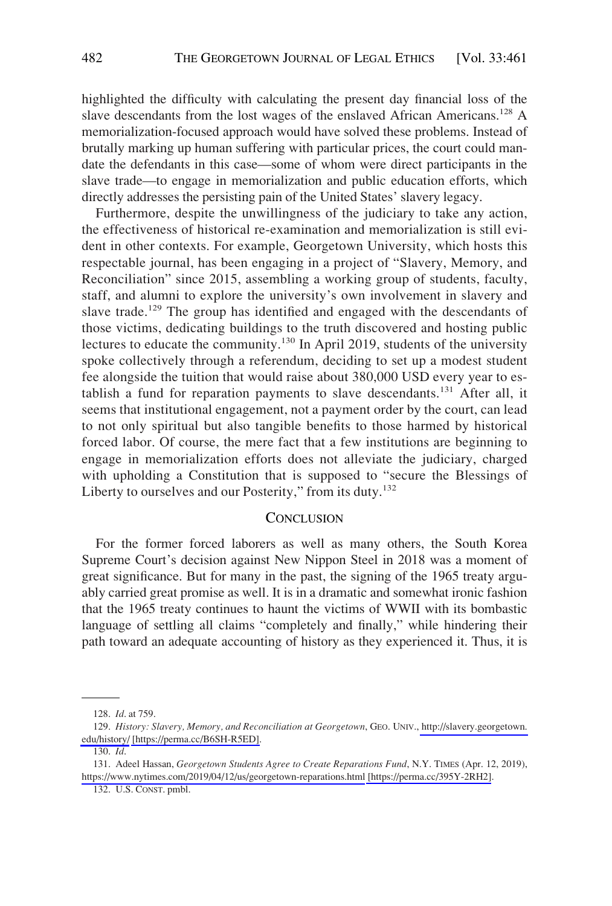highlighted the difficulty with calculating the present day financial loss of the slave descendants from the lost wages of the enslaved African Americans.<sup>128</sup> A memorialization-focused approach would have solved these problems. Instead of brutally marking up human suffering with particular prices, the court could mandate the defendants in this case—some of whom were direct participants in the slave trade—to engage in memorialization and public education efforts, which directly addresses the persisting pain of the United States' slavery legacy.

Furthermore, despite the unwillingness of the judiciary to take any action, the effectiveness of historical re-examination and memorialization is still evident in other contexts. For example, Georgetown University, which hosts this respectable journal, has been engaging in a project of "Slavery, Memory, and Reconciliation" since 2015, assembling a working group of students, faculty, staff, and alumni to explore the university's own involvement in slavery and slave trade.<sup>129</sup> The group has identified and engaged with the descendants of those victims, dedicating buildings to the truth discovered and hosting public lectures to educate the community.<sup>130</sup> In April 2019, students of the university spoke collectively through a referendum, deciding to set up a modest student fee alongside the tuition that would raise about 380,000 USD every year to establish a fund for reparation payments to slave descendants.<sup>131</sup> After all, it seems that institutional engagement, not a payment order by the court, can lead to not only spiritual but also tangible benefits to those harmed by historical forced labor. Of course, the mere fact that a few institutions are beginning to engage in memorialization efforts does not alleviate the judiciary, charged with upholding a Constitution that is supposed to "secure the Blessings of Liberty to ourselves and our Posterity," from its duty.<sup>132</sup>

## **CONCLUSION**

For the former forced laborers as well as many others, the South Korea Supreme Court's decision against New Nippon Steel in 2018 was a moment of great significance. But for many in the past, the signing of the 1965 treaty arguably carried great promise as well. It is in a dramatic and somewhat ironic fashion that the 1965 treaty continues to haunt the victims of WWII with its bombastic language of settling all claims "completely and finally," while hindering their path toward an adequate accounting of history as they experienced it. Thus, it is

<sup>128.</sup> *Id*. at 759.

*History: Slavery, Memory, and Reconciliation at Georgetown*, GEO. UNIV., [http://slavery.georgetown.](http://slavery.georgetown.edu/history/)  129. [edu/history/](http://slavery.georgetown.edu/history/) [\[https://perma.cc/B6SH-R5ED\]](https://perma.cc/B6SH-R5ED).

<sup>130.</sup> *Id*.

<sup>131.</sup> Adeel Hassan, *Georgetown Students Agree to Create Reparations Fund*, N.Y. TIMES (Apr. 12, 2019), <https://www.nytimes.com/2019/04/12/us/georgetown-reparations.html> [\[https://perma.cc/395Y-2RH2\]](https://perma.cc/395Y-2RH2).

<sup>132.</sup> U.S. CONST. pmbl.